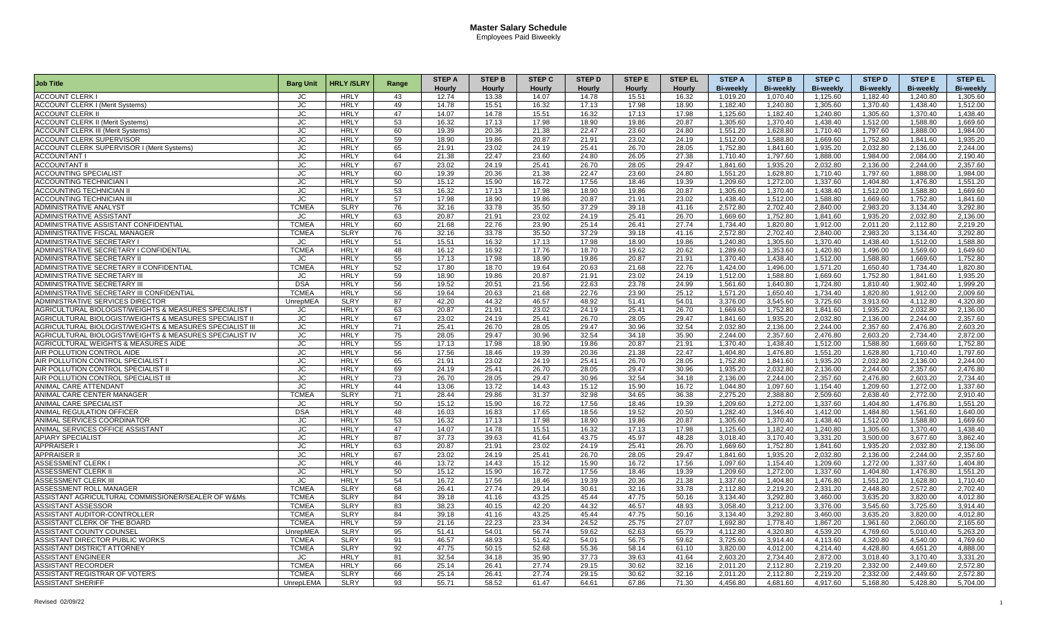| <b>Job Title</b>                                         | <b>Barg Unit</b> | <b>HRLY/SLRY</b> |       | <b>STEP A</b> | <b>STEP B</b> | <b>STEP C</b> | <b>STEP D</b> | <b>STEP E</b> | <b>STEP EL</b> | <b>STEP A</b>    | <b>STEP B</b>    | <b>STEP C</b>    | <b>STEP D</b>    | <b>STEPE</b>     | <b>STEP EL</b>   |
|----------------------------------------------------------|------------------|------------------|-------|---------------|---------------|---------------|---------------|---------------|----------------|------------------|------------------|------------------|------------------|------------------|------------------|
|                                                          |                  |                  | Range | Hourly        | Hourly        | Hourly        | Hourly        | <b>Hourly</b> | <b>Hourly</b>  | <b>Bi-weekly</b> | <b>Bi-weekly</b> | <b>Bi-weekly</b> | <b>Bi-weekly</b> | <b>Bi-weekly</b> | <b>Bi-weekly</b> |
| ACCOUNT CLERK I                                          | JC               | <b>HRLY</b>      | 43    | 12.74         | 13.38         | 14.07         | 14.78         | 15.51         | 16.32          | 1.019.20         | 1.070.40         | 1.125.60         | 1.182.40         | 1.240.80         | 1.305.60         |
| <b>ACCOUNT CLERK I (Merit Systems)</b>                   | JС               | <b>HRLY</b>      | 49    | 14.78         | 15.51         | 16.32         | 17.13         | 17.98         | 18.90          | 1,182.40         | 1,240.80         | 1,305.60         | 1,370.40         | 1,438.40         | 1,512.00         |
| <b>ACCOUNT CLERK II</b>                                  | <b>JC</b>        | <b>HRLY</b>      | 47    | 14.07         | 14.78         | 15.51         | 16.32         | 17.13         | 17.98          | 1,125.60         | 1,182.40         | 1,240.80         | 1,305.60         | 1,370.40         | 1,438.40         |
| <b>ACCOUNT CLERK II (Merit Systems)</b>                  | JC.              | <b>HRLY</b>      | 53    | 16.32         | 17.13         | 17.98         | 18.90         | 19.86         | 20.87          | 1.305.60         | 1.370.40         | 1.438.40         | 1.512.00         | 1.588.80         | 1.669.60         |
| <b>ACCOUNT CLERK III (Merit Systems)</b>                 | JC.              | <b>HRLY</b>      | 60    | 19.39         | 20.36         | 21.38         | 22.47         | 23.60         | 24.80          | 1.551.20         | 1.628.80         | 1.710.40         | 1.797.60         | 1.888.00         | 1.984.00         |
| ACCOUNT CLERK SUPERVISOR                                 | JC               | <b>HRLY</b>      | 59    | 18.90         | 19.86         | 20.87         | 21.91         | 23.02         | 24.19          | 1,512.00         | 1,588.80         | 1,669.60         | 1,752.80         | 1,841.60         | 1,935.20         |
| <b>ACCOUNT CLERK SUPERVISOR I (Merit Systems)</b>        | <b>JC</b>        | <b>HRLY</b>      | 65    | 21.91         | 23.02         | 24.19         | 25.41         | 26.70         | 28.05          | 1,752.80         | 1,841.60         | 1,935.20         | 2,032.80         | 2,136.00         | 2,244.00         |
| <b>ACCOUNTANT I</b>                                      | JС               | <b>HRLY</b>      | 64    | 21.38         | 22.47         | 23.60         | 24.80         | 26.05         | 27.38          | 1.710.40         | 1.797.60         | 1,888.00         | 1.984.00         | 2.084.00         | 2.190.40         |
| <b>ACCOUNTANT II</b>                                     | JC               | <b>HRLY</b>      | 67    | 23.02         | 24.19         | 25.41         | 26.70         | 28.05         | 29.47          | 1,841.60         | 1.935.20         | 2.032.80         | 2,136.00         | 2.244.00         | 2,357.60         |
| <b>ACCOUNTING SPECIALIST</b>                             | JС               | <b>HRLY</b>      | 60    | 19.39         | 20.36         | 21.38         | 22.47         | 23.60         | 24.80          | 1,551.20         | 1,628.80         | 1.710.40         | 1,797.60         | 1,888.00         | 1,984.00         |
| ACCOUNTING TECHNICIAN                                    | <b>JC</b>        | <b>HRLY</b>      | 50    | 15.12         | 15.90         | 16.72         | 17.56         | 18.46         | 19.39          | 1,209.60         | 1,272.00         | 1,337.60         | 1,404.80         | 1,476.80         | 1,551.20         |
| ACCOUNTING TECHNICIAN I                                  | JС               | <b>HRLY</b>      | 53    | 16.32         | 17.13         | 17.98         | 18.90         | 19.86         | 20.87          | 1,305.60         | 1.370.40         | 1,438.40         | 1,512.00         | 1,588.80         | 1,669.60         |
| ACCOUNTING TECHNICIAN I                                  | JC               | <b>HRLY</b>      | 57    | 17.98         | 18.90         | 19.86         | 20.87         | 21.91         | 23.02          | 1.438.40         | 1,512.00         | 1.588.80         | 1,669.60         | 1,752.80         | 1.841.60         |
| ADMINISTRATIVE ANALYST                                   | <b>TCMEA</b>     | <b>SLRY</b>      | 76    | 32.16         | 33.78         | 35.50         | 37.29         | 39.18         | 41.16          | 2,572.80         | 2.702.40         | 2.840.00         | 2,983.20         | 3,134.40         | 3,292.80         |
| ADMINISTRATIVE ASSISTAN <sup>-</sup>                     | JC               | <b>HRLY</b>      | 63    | 20.87         | 21.91         | 23.02         | 24.19         | 25.41         | 26.70          | 1,669.60         | 1,752.80         | 1,841.60         | 1,935.20         | 2,032.80         | 2,136.00         |
| ADMINISTRATIVE ASSISTANT CONFIDENTIAL                    | <b>TCMEA</b>     | <b>HRLY</b>      | 60    | 21.68         | 22.76         | 23.90         | 25.14         | 26.41         | 27.74          | 1.734.40         | 1.820.80         | 1.912.00         | 2.011.20         | 2.112.80         | 2.219.20         |
| ADMINISTRATIVE FISCAL MANAGER                            | <b>TCMEA</b>     | <b>SLRY</b>      | 76    | 32.16         | 33.78         | 35.50         | 37.29         | 39.18         | 41.16          | 2.572.80         | 2.702.40         | 2.840.00         | 2.983.20         | 3.134.40         | 3.292.80         |
| ADMINISTRATIVE SECRETARY I                               | JС               | <b>HRLY</b>      | 51    | 15.51         | 16.32         | 17.13         | 17.98         | 18.90         | 19.86          | 1.240.80         | 1.305.60         | 1.370.40         | 1.438.40         | 1.512.00         | 1.588.80         |
| ADMINISTRATIVE SECRETARY I CONFIDENTIAL                  | <b>TCMEA</b>     | <b>HRLY</b>      | 48    | 16.12         | 16.92         | 17.76         | 18.70         | 19.62         | 20.62          | 1.289.60         | 1.353.60         | 1.420.80         | 1,496.00         | 1,569.60         | 1.649.60         |
| ADMINISTRATIVE SECRETARY II                              | JC.              | <b>HRLY</b>      | 55    | 17.13         | 17.98         | 18.90         | 19.86         | 20.87         | 21.91          | 1.370.40         | 1.438.40         | 1.512.00         | 1.588.80         | 1.669.60         | 1.752.80         |
| ADMINISTRATIVE SECRETARY II CONFIDENTIAL                 | <b>TCMEA</b>     | <b>HRLY</b>      | 52    | 17.80         | 18.70         | 19.64         | 20.63         | 21.68         | 22.76          | 1.424.00         | 1.496.00         | 1.571.20         | 1.650.40         | 1.734.40         | 1.820.80         |
| ADMINISTRATIVE SECRETARY III                             | <b>JC</b>        | <b>HRLY</b>      | 59    | 18.90         | 19.86         | 20.87         | 21.91         | 23.02         | 24.19          | 1,512.00         | 1,588.80         | 1,669.60         | 1,752.80         | 1,841.60         | 1,935.20         |
| <b>ADMINISTRATIVE SECRETARY III</b>                      | <b>DSA</b>       | <b>HRLY</b>      | 56    | 19.52         | 20.51         | 21.56         | 22.63         | 23.78         | 24.99          | 1,561.60         | 1,640.80         | 1,724.80         | 1,810.40         | 1,902.40         | 1,999.20         |
| ADMINISTRATIVE SECRETARY III CONFIDENTIAL                | <b>TCMEA</b>     | <b>HRLY</b>      | 56    | 19.64         | 20.63         | 21.68         | 22.76         | 23.90         | 25.12          | 1.571.20         | 1.650.40         | 1.734.40         | 1,820.80         | 1,912.00         | 2,009.60         |
| ADMINISTRATIVE SERVICES DIRECTOR                         | <b>UnrepMEA</b>  | <b>SLRY</b>      | 87    | 42.20         | 44.32         | 46.57         | 48.92         | 51.41         | 54.01          | 3.376.00         | 3.545.60         | 3.725.60         | 3.913.60         | 4.112.80         | 4.320.80         |
| AGRICULTURAL BIOLOGIST/WEIGHTS & MEASURES SPECIALIST I   | JС               | <b>HRLY</b>      | 63    | 20.87         | 21.91         | 23.02         | 24.19         | 25.41         | 26.70          | 1,669.60         | 1,752.80         | 1,841.60         | 1,935.20         | 2,032.80         | 2,136.00         |
| AGRICULTURAL BIOLOGIST/WEIGHTS & MEASURES SPECIALIST I   | <b>JC</b>        | <b>HRLY</b>      | 67    | 23.02         | 24.19         | 25.41         | 26.70         | 28.05         | 29.47          | 1,841.60         | 1,935.20         | 2,032.80         | 2,136.00         | 2,244.00         | 2,357.60         |
| AGRICULTURAL BIOLOGIST/WEIGHTS & MEASURES SPECIALIST III | JC.              | <b>HRLY</b>      | 71    | 25.41         | 26.70         | 28.05         | 29.47         | 30.96         | 32.54          | 2.032.80         | 2.136.00         | 2.244.00         | 2.357.60         | 2.476.80         | 2.603.20         |
| AGRICULTURAL BIOLOGIST/WEIGHTS & MEASURES SPECIALIST IV  | JC.              | <b>HRLY</b>      | 75    | 28.05         | 29.47         | 30.96         | 32.54         | 34.18         | 35.90          | 2.244.00         | 2.357.60         | 2.476.80         | 2.603.20         | 2.734.40         | 2.872.00         |
| AGRICULTURAL WEIGHTS & MEASURES AIDE                     | JС               | <b>HRLY</b>      | 55    | 17.13         | 17.98         | 18.90         | 19.86         | 20.87         | 21.91          | 1,370.40         | 1,438.40         | 1,512.00         | 1,588.80         | 1,669.60         | 1,752.80         |
| AIR POLLUTION CONTROL AIDE                               | JС               | <b>HRLY</b>      | 56    | 17.56         | 18.46         | 19.39         | 20.36         | 21.38         | 22.47          | 1,404.80         | 1,476.80         | 1,551.20         | 1,628.80         | 1,710.40         | 1,797.60         |
| AIR POLLUTION CONTROL SPECIALIST I                       | JC               | <b>HRLY</b>      | 65    | 21.91         | 23.02         | 24.19         | 25.41         | 26.70         | 28.05          | 1,752.80         | 1,841.60         | 1,935.20         | 2,032.80         | 2,136.00         | 2,244.00         |
| AIR POLLUTION CONTROL SPECIALIST I                       | JC.              | <b>HRLY</b>      | 69    | 24.19         | 25.41         | 26.70         | 28.05         | 29.47         | 30.96          | 1.935.20         | 2.032.80         | 2.136.00         | 2.244.00         | 2.357.60         | 2.476.80         |
| AIR POLLUTION CONTROL SPECIALIST III                     | <b>JC</b>        | <b>HRLY</b>      | 73    | 26.70         | 28.05         | 29.47         | 30.96         | 32.54         | 34.18          | 2,136.00         | 2,244.00         | 2,357.60         | 2,476.80         | 2,603.20         | 2,734.40         |
| ANIMAL CARE ATTENDANT                                    | <b>JC</b>        | <b>HRLY</b>      | 44    | 13.06         | 13.72         | 14.43         | 15.12         | 15.90         | 16.72          | 1.044.80         | 1.097.60         | 1.154.40         | 1,209.60         | 1,272.00         | 1,337.60         |
| ANIMAL CARE CENTER MANAGER                               | <b>TCMEA</b>     | <b>SLRY</b>      | 71    | 28.44         | 29.86         | 31.37         | 32.98         | 34.65         | 36.38          | 2,275.20         | 2,388.80         | 2,509.60         | 2,638.40         | 2,772.00         | 2,910.40         |
| ANIMAL CARE SPECIALIST                                   | JC               | <b>HRLY</b>      | 50    | 15.12         | 15.90         | 16.72         | 17.56         | 18.46         | 19.39          | 1.209.60         | 1.272.00         | 1.337.60         | 1,404.80         | 1.476.80         | 1,551.20         |
| ANIMAL REGULATION OFFICER                                | <b>DSA</b>       | <b>HRLY</b>      | 48    | 16.03         | 16.83         | 17.65         | 18.56         | 19.52         | 20.50          | 1,282.40         | 1,346.40         | 1,412.00         | 1,484.80         | 1,561.60         | 1,640.00         |
| ANIMAL SERVICES COORDINATOR                              | <b>JC</b>        | <b>HRLY</b>      | 53    | 16.32         | 17.13         | 17.98         | 18.90         | 19.86         | 20.87          | 1,305.60         | 1.370.40         | 1,438.40         | 1,512.00         | 1,588.80         | 1,669.60         |
| ANIMAL SERVICES OFFICE ASSISTANT                         | JC               | <b>HRLY</b>      | 47    | 14.07         | 14.78         | 15.51         | 16.32         | 17.13         | 17.98          | 1.125.60         | 1.182.40         | 1.240.80         | 1.305.60         | 1.370.40         | 1.438.40         |
| <b>APIARY SPECIALIST</b>                                 | JС               | <b>HRLY</b>      | 87    | 37.73         | 39.63         | 41.64         | 43.75         | 45.97         | 48.28          | 3.018.40         | 3.170.40         | 3,331.20         | 3,500.00         | 3.677.60         | 3,862.40         |
| <b>APPRAISER I</b>                                       | <b>JC</b>        | <b>HRLY</b>      | 63    | 20.87         | 21.91         | 23.02         | 24.19         | 25.41         | 26.70          | 1.669.60         | 1.752.80         | 1.841.60         | 1,935.20         | 2,032.80         | 2.136.00         |
| <b>APPRAISER II</b>                                      | JC               | <b>HRLY</b>      | 67    | 23.02         | 24.19         | 25.41         | 26.70         | 28.05         | 29.47          | 1.841.60         | 1,935.20         | 2,032.80         | 2,136.00         | 2.244.00         | 2,357.60         |
| ASSESSMENT CLERK I                                       | JC               | <b>HRLY</b>      | 46    | 13.72         | 14.43         | 15.12         | 15.90         | 16.72         | 17.56          | 1.097.60         | 1.154.40         | 1.209.60         | 1,272.00         | 1,337.60         | 1.404.80         |
| <b>ASSESSMENT CLERK I</b>                                | JC               | <b>HRLY</b>      | 50    | 15.12         | 15.90         | 16.72         | 17.56         | 18.46         | 19.39          | 1.209.60         | 1.272.00         | 1.337.60         | 1.404.80         | 1.476.80         | 1.551.20         |
| ASSESSMENT CLERK III                                     | <b>JC</b>        | <b>HRLY</b>      | 54    | 16.72         | 17.56         | 18.46         | 19.39         | 20.36         | 21.38          | 1,337.60         | 1,404.80         | 1,476.80         | 1,551.20         | 1,628.80         | 1,710.40         |
| ASSESSMENT ROLL MANAGER                                  | <b>TCMEA</b>     | <b>SLRY</b>      | 68    | 26.41         | 27.74         | 29.14         | 30.61         | 32.16         | 33.78          | 2,112.80         | 2,219.20         | 2,331.20         | 2,448.80         | 2,572.80         | 2,702.40         |
| ASSISTANT AGRICULTURAL COMMISSIONER/SEALER OF W&Ms       | <b>TCMEA</b>     | <b>SLRY</b>      | 84    | 39.18         | 41.16         | 43.25         | 45.44         | 47.75         | 50.16          | 3,134.40         | 3.292.80         | 3.460.00         | 3,635.20         | 3,820.00         | 4,012.80         |
| ASSISTANT ASSESSOR                                       | <b>TCMEA</b>     | <b>SLRY</b>      | 83    | 38.23         | 40.15         | 42.20         | 44.32         | 46.57         | 48.93          | 3.058.40         | 3.212.00         | 3.376.00         | 3,545.60         | 3,725.60         | 3.914.40         |
| ASSISTANT AUDITOR-CONTROLLER                             | <b>TCMEA</b>     | <b>SLRY</b>      | 84    | 39.18         | 41.16         | 43.25         | 45.44         | 47.75         | 50.16          | 3,134.40         | 3,292.80         | 3,460.00         | 3,635.20         | 3,820.00         | 4,012.80         |
| ASSISTANT CLERK OF THE BOARD                             | <b>TCMEA</b>     | <b>HRLY</b>      | 59    | 21.16         | 22.23         | 23.34         | 24.52         | 25.75         | 27.07          | 1,692.80         | 1,778.40         | 1,867.20         | 1,961.60         | 2,060.00         | 2,165.60         |
| ASSISTANT COUNTY COUNSEL                                 | <b>UnrepMEA</b>  | <b>SLRY</b>      | 95    | 51.41         | 54.01         | 56.74         | 59.62         | 62.63         | 65.79          | 4.112.80         | 4.320.80         | 4.539.20         | 4.769.60         | 5.010.40         | 5.263.20         |
| ASSISTANT DIRECTOR PUBLIC WORKS                          | <b>TCMEA</b>     | <b>SLRY</b>      | 91    | 46.57         | 48.93         | 51.42         | 54.01         | 56.75         | 59.62          | 3.725.60         | 3.914.40         | 4.113.60         | 4,320.80         | 4.540.00         | 4.769.60         |
| ASSISTANT DISTRICT ATTORNEY                              | <b>TCMEA</b>     | <b>SLRY</b>      | 92    | 47.75         | 50.15         | 52.68         | 55.36         | 58.14         | 61.10          | 3,820.00         | 4,012.00         | 4,214.40         | 4,428.80         | 4,651.20         | 4,888.00         |
| <b>ASSISTANT ENGINEER</b>                                | <b>JC</b>        | <b>HRLY</b>      | 81    | 32.54         | 34.18         | 35.90         | 37.73         | 39.63         | 41.64          | 2,603.20         | 2,734.40         | 2,872.00         | 3,018.40         | 3,170.40         | 3,331.20         |
| ASSISTANT RECORDER                                       | <b>TCMEA</b>     | <b>HRLY</b>      | 66    | 25.14         | 26.41         | 27.74         | 29.15         | 30.62         | 32.16          | 2.011.20         | 2,112.80         | 2,219.20         | 2,332.00         | 2,449.60         | 2,572.80         |
| ASSISTANT REGISTRAR OF VOTERS                            | <b>TCMEA</b>     | <b>SLRY</b>      | 66    | 25.14         | 26.41         | 27.74         | 29.15         | 30.62         | 32.16          | 2,011.20         | 2,112.80         | 2,219.20         | 2,332.00         | 2.449.60         | 2,572.80         |
| <b>ASSISTANT SHERIFF</b>                                 | UnrepLEMA        | <b>SLRY</b>      | 93    | 55.71         | 58.52         | 61.47         | 64.61         | 67.86         | 71.30          | 4,456.80         | 4,681.60         | 4,917.60         | 5,168.80         | 5,428.80         | 5,704.00         |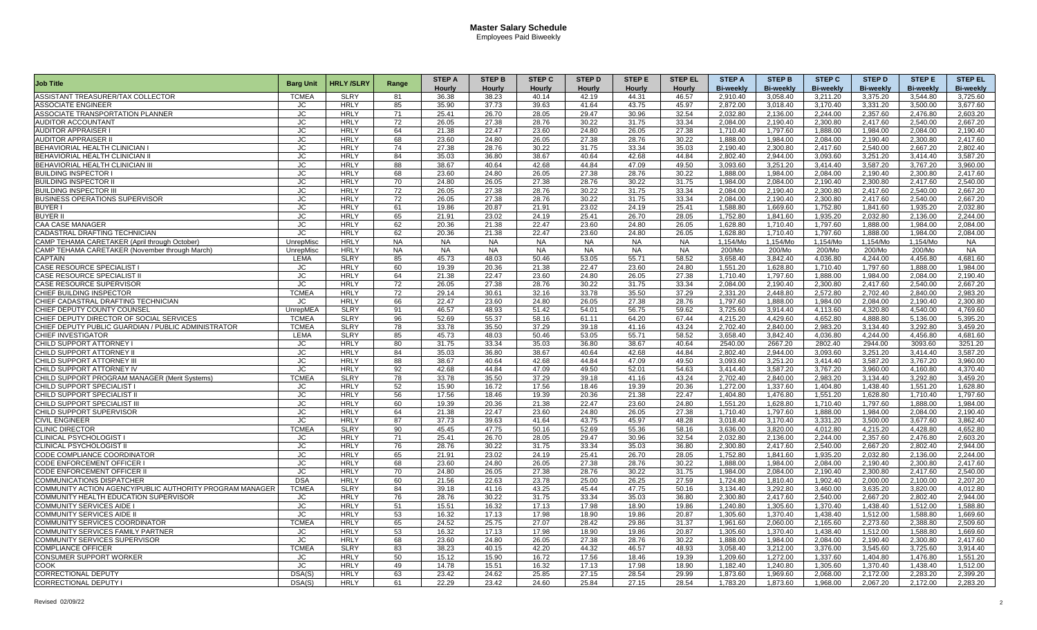| <b>Job Title</b>                                               | <b>Barg Unit</b> | <b>HRLY/SLRY</b>           | Range           | <b>STEP A</b>  | <b>STEP B</b> | <b>STEP C</b> | <b>STEP D</b> | <b>STEP E</b>  | <b>STEP EL</b> | <b>STEP A</b>    | <b>STEP B</b>    | <b>STEP C</b>    | <b>STEP D</b>        | <b>STEPE</b>     | <b>STEP EL</b>   |
|----------------------------------------------------------------|------------------|----------------------------|-----------------|----------------|---------------|---------------|---------------|----------------|----------------|------------------|------------------|------------------|----------------------|------------------|------------------|
|                                                                |                  |                            |                 | Hourly         | <b>Hourly</b> | Hourly        | Hourly        | <b>Hourly</b>  | Hourly         | <b>Bi-weekly</b> | <b>Bi-weekly</b> | <b>Bi-weekly</b> | <b>Bi-weekly</b>     | <b>Bi-weekly</b> | <b>Bi-weekly</b> |
| ASSISTANT TREASURER/TAX COLLECTOR                              | <b>TCMEA</b>     | <b>SLRY</b>                | 81              | 36.38          | 38.23         | 40.14         | 42.19         | 44.31          | 46.57          | 2.910.40         | 3.058.40         | 3.211.20         | 3.375.20             | 3.544.80         | 3.725.60         |
| <b>ASSOCIATE ENGINEER</b>                                      | JC               | <b>HRLY</b>                | 85              | 35.90          | 37.73         | 39.63         | 41.64         | 43.75          | 45.97          | 2,872.00         | 3,018.40         | 3,170.40         | 3,331.20             | 3,500.00         | 3,677.60         |
| ASSOCIATE TRANSPORTATION PLANNER                               | JС               | <b>HRLY</b>                | 71              | 25.41          | 26.70         | 28.05         | 29.47         | 30.96          | 32.54          | 2,032.80         | 2,136.00         | 2,244.00         | 2,357.60             | 2,476.80         | 2,603.20         |
| <b>AUDITOR ACCOUNTANT</b>                                      | JC               | <b>HRLY</b>                | 72              | 26.05          | 27.38         | 28.76         | 30.22         | 31.75          | 33.34          | 2.084.00         | 2.190.40         | 2.300.80         | 2.417.60             | 2.540.00         | 2.667.20         |
| <b>AUDITOR APPRAISER I</b>                                     | JC               | <b>HRLY</b>                | 64              | 21.38          | 22.47         | 23.60         | 24.80         | 26.05          | 27.38          | 1,710.40         | 1,797.60         | 1,888.00         | 1,984.00             | 2,084.00         | 2,190.40         |
| <b>AUDITOR APPRAISER I</b>                                     | JC.              | <b>HRLY</b>                | 68              | 23.60          | 24.80         | 26.05         | 27.38         | 28.76          | 30.22          | 1.888.00         | 1.984.00         | 2.084.00         | 2.190.40             | 2.300.80         | 2.417.60         |
| BEHAVIORIAL HEALTH CLINICIAN I                                 | <b>JC</b>        | <b>HRLY</b>                | 74              | 27.38          | 28.76         | 30.22         | 31.75         | 33.34          | 35.03          | 2,190.40         | 2.300.80         | 2,417.60         | 2,540.00             | 2,667.20         | 2,802.40         |
| <b>BEHAVIORIAL HEALTH CLINICIAN I</b>                          | JC               | <b>HRLY</b>                | 84              | 35.03          | 36.80         | 38.67         | 40.64         | 42.68          | 44.84          | 2.802.40         | 2.944.00         | 3.093.60         | 3,251.20             | 3.414.40         | 3,587.20         |
| BEHAVIORIAL HEALTH CLINICIAN III                               | JС               | <b>HRLY</b>                | 88              | 38.67          | 40.64         | 42.68         | 44.84         | 47.09          | 49.50          | 3,093.60         | 3,251.20         | 3,414.40         | 3,587.20             | 3,767.20         | 3,960.00         |
| <b>BUILDING INSPECTOR</b>                                      | JC               | <b>HRLY</b>                | 68              | 23.60          | 24.80         | 26.05         | 27.38         | 28.76          | 30.22          | 1.888.00         | 1.984.00         | 2.084.00         | 2,190.40             | 2.300.80         | 2.417.60         |
| <b>BUILDING INSPECTOR II</b>                                   | JC               | <b>HRLY</b>                | 70              | 24.80          | 26.05         | 27.38         | 28.76         | 30.22          | 31.75          | 1.984.00         | 2.084.00         | 2.190.40         | 2,300.80             | 2.417.60         | 2.540.00         |
| <b>BUILDING INSPECTOR III</b>                                  | JC.              | <b>HRLY</b>                | 72              | 26.05          | 27.38         | 28.76         | 30.22         | 31.75          | 33.34          | 2.084.00         | 2.190.40         | 2,300.80         | 2,417.60             | 2,540.00         | 2,667.20         |
| <b>BUSINESS OPERATIONS SUPERVISOR</b>                          | JC               | <b>HRLY</b>                | 72              | 26.05          | 27.38         | 28.76         | 30.22         | 31.75          | 33.34          | 2,084.00         | 2,190.40         | 2,300.80         | 2,417.60             | 2,540.00         | 2,667.20         |
| <b>BUYER I</b>                                                 | JC               | <b>HRLY</b>                | 61              | 19.86          | 20.87         | 21.91         | 23.02         | 24.19          | 25.41          | 1,588.80         | 1.669.60         | 1.752.80         | 1.841.60             | 1,935.20         | 2,032.80         |
| <b>BUYER II</b>                                                | JC               | <b>HRLY</b>                | 65              | 21.91          | 23.02         | 24.19         | 25.41         | 26.70          | 28.05          | 1.752.80         | 1.841.60         | 1.935.20         | 2.032.80             | 2,136.00         | 2.244.00         |
| <b>CAA CASE MANAGER</b>                                        | JC.              | <b>HRLY</b>                | 62              | 20.36          | 21.38         | 22.47         | 23.60         | 24.80          | 26.05          | 1.628.80         | 1.710.40         | 1.797.60         | 1.888.00             | 1.984.00         | 2.084.00         |
| CADASTRAL DRAFTING TECHNICIAN                                  | JC.              | <b>HRLY</b>                | 62              | 20.36          | 21.38         | 22.47         | 23.60         | 24.80          | 26.05          | 1.628.80         | 1,710.40         | 1,797.60         | 1,888.00             | 1,984.00         | 2,084.00         |
| CAMP TEHAMA CARETAKER (April through October)                  | UnrepMisc        | <b>HRLY</b>                | <b>NA</b>       | <b>NA</b>      | <b>NA</b>     | <b>NA</b>     | <b>NA</b>     | <b>NA</b>      | <b>NA</b>      | 1.154/Mo         | 1.154/Mo         | 1.154/Mo         | 1.154/Mo             | 1.154/Mo         | <b>NA</b>        |
| CAMP TEHAMA CARETAKER (November through March)                 | UnrepMisc        | <b>HRLY</b>                | <b>NA</b>       | <b>NA</b>      | <b>NA</b>     | <b>NA</b>     | <b>NA</b>     | <b>NA</b>      | <b>NA</b>      | 200/Mo           | 200/Mo           | 200/Mo           | 200/Mo               | 200/Mo           | <b>NA</b>        |
| <b>CAPTAIN</b>                                                 | LEMA             | <b>SLRY</b>                | 85              | 45.73          | 48.03         | 50.46         | 53.05         | 55.71          | 58.52          | 3,658.40         | 3,842.40         | 4,036.80         | 4,244.00             | 4,456.80         | 4,681.60         |
| CASE RESOURCE SPECIALIST                                       | JC               | <b>HRLY</b>                | 60              | 19.39          | 20.36         | 21.38         | 22.47         | 23.60          | 24.80          | 1,551.20         | 1,628.80         | 1,710.40         | 1,797.60             | 1,888.00         | 1,984.00         |
| CASE RESOURCE SPECIALIST I                                     | JC               | <b>HRLY</b>                | 64              | 21.38          | 22.47         | 23.60         | 24.80         | 26.05          | 27.38          | 1,710.40         | 1.797.60         | 1.888.00         | 1,984.00             | 2,084.00         | 2.190.40         |
| <b>CASE RESOURCE SUPERVISOR</b>                                | JC.              | <b>HRLY</b>                | 72              | 26.05          | 27.38         | 28.76         | 30.22         | 31.75          | 33.34          | 2.084.00         | 2.190.40         | 2.300.80         | 2,417.60             | 2,540.00         | 2.667.20         |
| CHIEF BUILDING INSPECTOR                                       | <b>TCMEA</b>     | <b>HRLY</b>                | 72              | 29.14          | 30.61         | 32.16         | 33.78         | 35.50          | 37.29          | 2,331.20         | 2,448.80         | 2,572.80         | 2,702.40             | 2,840.00         | 2,983.20         |
| CHIEF CADASTRAL DRAFTING TECHNICIAN                            | JC               | <b>HRLY</b>                | 66              | 22.47          | 23.60         | 24.80         | 26.05         | 27.38          | 28.76          | 1,797.60         | 1,888.00         | 1,984.00         | 2,084.00             | 2,190.40         | 2,300.80         |
| CHIEF DEPUTY COUNTY COUNSEI                                    | UnrepMEA         | <b>SLRY</b>                | 91              | 46.57          | 48.93         | 51.42         | 54.01         | 56.75          | 59.62          | 3,725.60         | 3,914.40         | 4,113.60         | 4,320.80             | 4,540.00         | 4,769.60         |
| CHIEF DEPUTY DIRECTOR OF SOCIAL SERVICES                       | <b>TCMEA</b>     | <b>SLRY</b>                | 96              | 52.69          | 55.37         | 58.16         | 61.11         | 64.20          | 67.44          | 4.215.20         | 4.429.60         | 4,652.80         | 4.888.80             | 5,136.00         | 5,395.20         |
| CHIEF DEPUTY PUBLIC GUARDIAN / PUBLIC ADMINISTRATOR            | <b>TCMEA</b>     | <b>SLRY</b>                | 78              | 33.78          | 35.50         | 37.29         | 39.18         | 41.16          | 43.24          | 2,702.40         | 2,840.00         | 2,983.20         | 3,134.40             | 3,292.80         | 3,459.20         |
| <b>CHIEF INVESTIGATOR</b>                                      | LEMA             | <b>SLRY</b>                | 85              | 45.73          | 48.03         | 50.46         | 53.05         | 55.71          | 58.52          | 3,658.40         | 3,842.40         | 4,036.80         | 4,244.00             | 4,456.80         | 4,681.60         |
| CHILD SUPPORT ATTORNEY I                                       | JC.              | <b>HRLY</b>                | 80              | 31.75          | 33.34         | 35.03         | 36.80         | 38.67          | 40.64          | 2540.00          | 2667.20          | 2802.40          | 2944.00              | 3093.60          | 3251.20          |
| CHILD SUPPORT ATTORNEY II                                      | JC               | <b>HRLY</b>                | 84              | 35.03          | 36.80         | 38.67         | 40.64         | 42.68          | 44.84          | 2.802.40         | 2.944.00         | 3.093.60         | 3,251.20             | 3.414.40         | 3,587.20         |
| CHILD SUPPORT ATTORNEY III                                     | JС               | <b>HRLY</b>                | 88              | 38.67          | 40.64         | 42.68         | 44.84         | 47.09          | 49.50          | 3,093.60         | 3,251.20         | 3,414.40         | 3,587.20             | 3,767.20         | 3,960.00         |
| CHILD SUPPORT ATTORNEY IV                                      | JC               | <b>HRLY</b>                | 92              | 42.68          | 44.84         | 47.09         | 49.50         | 52.01          | 54.63          | 3,414.40         | 3,587.20         | 3,767.20         | 3,960.00             | 4,160.80         | 4,370.40         |
| CHILD SUPPORT PROGRAM MANAGER (Merit Systems)                  | <b>TCMEA</b>     | <b>SLRY</b>                | 78              | 33.78          | 35.50         | 37.29         | 39.18         | 41.16          | 43.24          | 2,702.40         | 2.840.00         | 2.983.20         | 3,134.40             | 3,292.80         | 3,459.20         |
| CHILD SUPPORT SPECIALIST I                                     | JC               | <b>HRLY</b>                | 52              | 15.90          | 16.72         | 17.56         | 18.46         | 19.39          | 20.36          | 1,272.00         | 1.337.60         | 1.404.80         | 1,438.40             | 1,551.20         | 1,628.80         |
| CHILD SUPPORT SPECIALIST II                                    | JC               | <b>HRLY</b>                | 56              | 17.56          | 18.46         | 19.39         | 20.36         | 21.38          | 22.47          | 1,404.80         | 1,476.80         | 1,551.20         | 1,628.80             | 1,710.40         | 1,797.60         |
| CHILD SUPPORT SPECIALIST III                                   | JC               | <b>HRLY</b>                | 60              | 19.39          | 20.36         | 21.38         | 22.47         | 23.60          | 24.80          | 1.551.20         | 1.628.80         | 1.710.40         | 1.797.60             | 1,888.00         | 1.984.00         |
| CHILD SUPPORT SUPERVISOR                                       | JC               | <b>HRLY</b>                | 64              | 21.38          | 22.47         | 23.60         | 24.80         | 26.05          | 27.38          | 1.710.40         | 1.797.60         | 1.888.00         | 1.984.00             | 2.084.00         | 2.190.40         |
| <b>CIVIL ENGINEER</b>                                          | JC.              | <b>HRLY</b>                | 87              | 37.73          | 39.63         | 41.64         | 43.75         | 45.97          | 48.28          | 3.018.40         | 3.170.40         | 3.331.20         | 3,500.00             | 3.677.60         | 3.862.40         |
| <b>CLINIC DIRECTOR</b>                                         | <b>TCMEA</b>     |                            | 90              | 45.45          | 47.75         | 50.16         | 52.69         |                |                | 3.636.00         | 3.820.00         | 4.012.80         |                      | 4,428.80         | 4.652.80         |
|                                                                | JC.              | <b>SLRY</b><br><b>HRLY</b> | 71              | 25.41          | 26.70         | 28.05         | 29.47         | 55.36<br>30.96 | 58.16<br>32.54 | 2.032.80         | 2.136.00         | 2.244.00         | 4,215.20<br>2,357.60 | 2.476.80         | 2.603.20         |
| <b>CLINICAL PSYCHOLOGIST</b><br><b>CLINICAL PSYCHOLOGIST I</b> | JC.              | <b>HRLY</b>                | 76              | 28.76          | 30.22         | 31.75         | 33.34         | 35.03          | 36.80          | 2.300.80         | 2.417.60         | 2.540.00         | 2.667.20             | 2.802.40         | 2.944.00         |
| CODE COMPLIANCE COORDINATOR                                    | JC               | <b>HRLY</b>                | 65              | 21.91          | 23.02         | 24.19         | 25.41         | 26.70          | 28.05          | 1,752.80         | 1,841.60         | 1,935.20         | 2,032.80             | 2,136.00         | 2,244.00         |
| <b>CODE ENFORCEMENT OFFICER</b>                                | JC               | <b>HRLY</b>                | 68              | 23.60          | 24.80         | 26.05         | 27.38         | 28.76          | 30.22          | 1,888.00         | 1,984.00         | 2,084.00         | 2,190.40             | 2,300.80         | 2,417.60         |
|                                                                | JC               | <b>HRLY</b>                | $\overline{70}$ | 24.80          | 26.05         | 27.38         | 28.76         | 30.22          | 31.75          | 1.984.00         | 2.084.00         | 2.190.40         | 2,300.80             | 2,417.60         | 2.540.00         |
| <b>CODE ENFORCEMENT OFFICER I</b>                              | <b>DSA</b>       |                            |                 |                | 22.63         | 23.78         |               | 26.25          |                |                  | 1.810.40         | 1.902.40         | 2.000.00             | 2.100.00         |                  |
| <b>COMMUNICATIONS DISPATCHER</b>                               |                  | <b>HRLY</b>                | 60              | 21.56          |               |               | 25.00         |                | 27.59          | 1.724.80         |                  |                  |                      |                  | 2.207.20         |
| COMMUNITY ACTION AGENCY/PUBLIC AUTHORITY PROGRAM MANAGER       | <b>TCMEA</b>     | <b>SLRY</b><br><b>HRLY</b> | 84              | 39.18<br>28.76 | 41.16         | 43.25         | 45.44         | 47.75          | 50.16          | 3,134.40         | 3,292.80         | 3,460.00         | 3,635.20             | 3,820.00         | 4,012.80         |
| COMMUNITY HEALTH EDUCATION SUPERVISOR                          | JC               |                            | 76              |                | 30.22         | 31.75         | 33.34         | 35.03          | 36.80          | 2,300.80         | 2,417.60         | 2,540.00         | 2,667.20             | 2,802.40         | 2,944.00         |
| <b>COMMUNITY SERVICES AIDE</b>                                 | JC               | <b>HRLY</b>                | 51              | 15.51          | 16.32         | 17.13         | 17.98         | 18.90          | 19.86          | 1,240.80         | 1,305.60         | 1,370.40         | 1,438.40             | 1,512.00         | 1,588.80         |
| <b>COMMUNITY SERVICES AIDE I</b>                               | JC.              | <b>HRLY</b>                | 53              | 16.32          | 17.13         | 17.98         | 18.90         | 19.86          | 20.87          | 1,305.60         | 1.370.40         | 1.438.40         | 1,512.00             | 1.588.80         | 1.669.60         |
| COMMUNITY SERVICES COORDINATOR                                 | <b>TCMEA</b>     | <b>HRLY</b>                | 65              | 24.52          | 25.75         | 27.07         | 28.42         | 29.86          | 31.37          | 1,961.60         | 2,060.00         | 2,165.60         | 2,273.60             | 2,388.80         | 2,509.60         |
| COMMUNITY SERVICES FAMILY PARTNER                              | JC               | <b>HRLY</b>                | 53              | 16.32          | 17.13         | 17.98         | 18.90         | 19.86          | 20.87          | 1,305.60         | 1.370.40         | 1,438.40         | 1,512.00             | 1,588.80         | 1,669.60         |
| <b>COMMUNITY SERVICES SUPERVISOR</b>                           | JC.              | <b>HRLY</b>                | 68              | 23.60          | 24.80         | 26.05         | 27.38         | 28.76          | 30.22          | 1,888.00         | 1.984.00         | 2.084.00         | 2,190.40             | 2.300.80         | 2.417.60         |
| <b>COMPLIANCE OFFICER</b>                                      | <b>TCMEA</b>     | <b>SLRY</b>                | 83              | 38.23          | 40.15         | 42.20         | 44.32         | 46.57          | 48.93          | 3.058.40         | 3,212.00         | 3.376.00         | 3,545.60             | 3,725.60         | 3.914.40         |
| <b>CONSUMER SUPPORT WORKER</b>                                 | JC               | <b>HRLY</b>                | 50              | 15.12          | 15.90         | 16.72         | 17.56         | 18.46          | 19.39          | 1,209.60         | 1,272.00         | 1,337.60         | 1,404.80             | 1,476.80         | 1,551.20         |
| <b>COOK</b>                                                    | JС               | <b>HRLY</b>                | 49              | 14.78          | 15.51         | 16.32         | 17.13         | 17.98          | 18.90          | 1,182.40         | 1,240.80         | 1,305.60         | 1,370.40             | 1,438.40         | 1,512.00         |
| <b>CORRECTIONAL DEPUTY</b>                                     | DSA(S)           | <b>HRLY</b>                | 63              | 23.42          | 24.62         | 25.85         | 27.15         | 28.54          | 29.99          | 1.873.60         | 1.969.60         | 2.068.00         | 2.172.00             | 2,283.20         | 2.399.20         |
| <b>CORRECTIONAL DEPUTY I</b>                                   | DSA(S)           | <b>HRLY</b>                | 61              | 22.29          | 23.42         | 24.60         | 25.84         | 27.15          | 28.54          | 1,783.20         | 1,873.60         | 1,968.00         | 2,067.20             | 2,172.00         | 2,283.20         |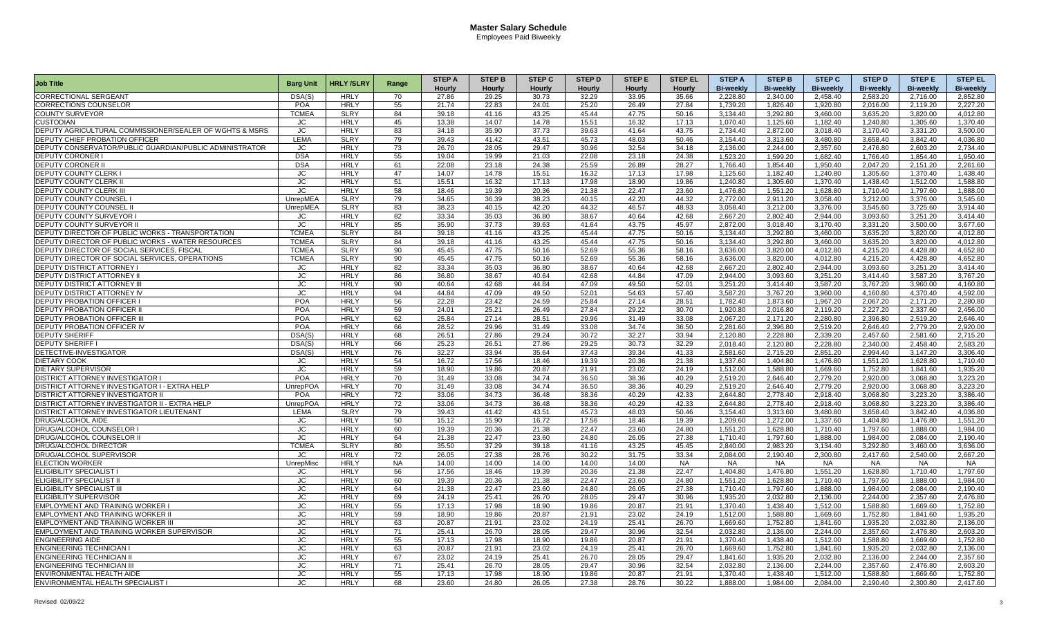| <b>Job Title</b>                                        |                  | <b>HRLY/SLRY</b> |       | <b>STEP A</b> | <b>STEP B</b> | <b>STEP C</b> | <b>STEP D</b> | <b>STEP E</b> | <b>STEP EL</b> | <b>STEP A</b>    | <b>STEP B</b>         | <b>STEP C</b>         | <b>STEP D</b>    | <b>STEPE</b>     | <b>STEP EL</b>   |
|---------------------------------------------------------|------------------|------------------|-------|---------------|---------------|---------------|---------------|---------------|----------------|------------------|-----------------------|-----------------------|------------------|------------------|------------------|
|                                                         | <b>Barg Unit</b> |                  | Range | Hourly        | Hourly        | Hourly        | Hourly        | Hourly        | Hourly         | <b>Bi-weekly</b> | <b>Bi-weekly</b>      | <b>Bi-weekly</b>      | <b>Bi-weekly</b> | <b>Bi-weekly</b> | <b>Bi-weekly</b> |
| CORRECTIONAL SERGEANT                                   | DSA(S)           | <b>HRLY</b>      | 70    | 27.86         | 29.25         | 30.73         | 32.29         | 33.95         | 35.66          | 2.228.80         | 2.340.00              | 2.458.40              | 2.583.20         | 2.716.00         | 2.852.80         |
| <b>CORRECTIONS COUNSELOR</b>                            | <b>POA</b>       | <b>HRLY</b>      | 55    | 21.74         | 22.83         | 24.01         | 25.20         | 26.49         | 27.84          | 1,739.20         | 1,826.40              | 1,920.80              | 2,016.00         | 2,119.20         | 2,227.20         |
| <b>COUNTY SURVEYOR</b>                                  | <b>TCMEA</b>     | <b>SLRY</b>      | 84    | 39.18         | 41.16         | 43.25         | 45.44         | 47.75         | 50.16          | 3,134.40         | 3,292.80              | 3,460.00              | 3,635.20         | 3,820.00         | 4,012.80         |
| <b>CUSTODIAN</b>                                        | JC               | <b>HRLY</b>      | 45    | 13.38         | 14.07         | 14.78         | 15.51         | 16.32         | 17.13          | 1.070.40         | 1,125.60              | 1.182.40              | 1,240.80         | 1,305.60         | 1.370.40         |
| DEPUTY AGRICULTURAL COMMISSIONER/SEALER OF WGHTS & MSRS | JC.              | <b>HRLY</b>      | 83    | 34.18         | 35.90         | 37.73         | 39.63         | 41.64         | 43.75          | 2,734.40         | 2,872.00              | 3.018.40              | 3,170.40         | 3.331.20         | 3.500.00         |
| DEPUTY CHIEF PROBATION OFFICER                          | LEMA             | <b>SLRY</b>      | 79    | 39.43         | 41.42         | 43.51         | 45.73         | 48.03         | 50.46          | 3,154.40         | 3,313.60              | 3,480.80              | 3,658.40         | 3,842.40         | 4,036.80         |
| DEPUTY CONSERVATOR/PUBLIC GUARDIAN/PUBLIC ADMINISTRATOR | JС               | <b>HRLY</b>      | 73    | 26.70         | 28.05         | 29.47         | 30.96         | 32.54         | 34.18          | 2,136.00         | 2,244.00              | 2,357.60              | 2,476.80         | 2,603.20         | 2,734.40         |
| <b>DEPUTY CORONER</b>                                   | <b>DSA</b>       | <b>HRLY</b>      | 55    | 19.04         | 19.99         | 21.03         | 22.08         | 23.18         | 24.38          | 1,523.20         | 1.599.20              | 1,682.40              | 1.766.40         | 1.854.40         | 1.950.40         |
| <b>DEPUTY CORONER II</b>                                | <b>DSA</b>       | <b>HRLY</b>      | 61    | 22.08         | 23.18         | 24.38         | 25.59         | 26.89         | 28.27          | 1,766.40         | 1,854.40              | 1,950.40              | 2,047.20         | 2,151.20         | 2,261.60         |
| <b>DEPUTY COUNTY CLERK I</b>                            | JC               | <b>HRLY</b>      | 47    | 14.07         | 14.78         | 15.51         | 16.32         | 17.13         | 17.98          | 1,125.60         | 1.182.40              | 1.240.80              | 1,305.60         | 1,370.40         | 1,438.40         |
| <b>IDEPUTY COUNTY CLERK I</b>                           | JC.              | <b>HRLY</b>      | 51    | 15.51         | 16.32         | 17.13         | 17.98         | 18.90         | 19.86          | 1,240.80         | 1,305.60              | $1,370.\overline{40}$ | 1,438.40         | 1,512.00         | 1,588.80         |
| <b>DEPUTY COUNTY CLERK III</b>                          | JC               | <b>HRLY</b>      | 58    | 18.46         | 19.39         | 20.36         | 21.38         | 22.47         | 23.60          | 1.476.80         | 1.551.20              | 1.628.80              | 1.710.40         | 1.797.60         | 1.888.00         |
| DEPUTY COUNTY COUNSEL                                   | UnrepMEA         | <b>SLRY</b>      | 79    | 34.65         | 36.39         | 38.23         | 40.15         | 42.20         | 44.32          | 2.772.00         | 2.911.20              | 3.058.40              | 3,212.00         | 3.376.00         | 3.545.60         |
| DEPUTY COUNTY COUNSEL II                                | UnrepMEA         | <b>SLRY</b>      | 83    | 38.23         | 40.15         | 42.20         | 44.32         | 46.57         | 48.93          | 3,058.40         | 3,212.00              | 3,376.00              | 3,545.60         | 3,725.60         | 3,914.40         |
| DEPUTY COUNTY SURVEYOR                                  | JC               | <b>HRLY</b>      | 82    | 33.34         | 35.03         | 36.80         | 38.67         | 40.64         | 42.68          | 2,667.20         | 2,802.40              | 2,944.00              | 3,093.60         | 3,251.20         | 3,414.40         |
| <b>DEPUTY COUNTY SURVEYOR I</b>                         | JC.              | <b>HRLY</b>      | 85    | 35.90         | 37.73         | 39.63         | 41.64         | 43.75         | 45.97          | 2.872.00         | 3.018.40              | 3.170.40              | 3,331.20         | 3.500.00         | 3.677.60         |
| DEPUTY DIRECTOR OF PUBLIC WORKS - TRANSPORTATION        | <b>TCMEA</b>     | <b>SLRY</b>      | 84    | 39.18         | 41.16         | 43.25         | 45.44         | 47.75         | 50.16          | 3.134.40         | 3.292.80              | 3.460.00              | 3.635.20         | 3.820.00         | 4.012.80         |
| DEPUTY DIRECTOR OF PUBLIC WORKS - WATER RESOURCES       | <b>TCMEA</b>     | <b>SLRY</b>      | 84    | 39.18         | 41.16         | 43.25         | 45.44         | 47.75         | 50.16          | 3,134.40         | 3,292.80              | 3,460.00              | 3,635.20         | 3,820.00         | 4,012.80         |
| DEPUTY DIRECTOR OF SOCIAL SERVICES, FISCAL              | <b>TCMEA</b>     | <b>SLRY</b>      | 90    | 45.45         | 47.75         | 50.16         | 52.69         | 55.36         | 58.16          | 3,636.00         | 3,820.00              | 4,012.80              | 4,215.20         | 4,428.80         | 4,652.80         |
| DEPUTY DIRECTOR OF SOCIAL SERVICES, OPERATIONS          | <b>TCMEA</b>     | <b>SLRY</b>      | 90    | 45.45         | 47.75         | 50.16         | 52.69         | 55.36         | 58.16          | 3,636.00         | 3.820.00              | 4.012.80              | 4,215.20         | 4,428.80         | 4.652.80         |
| <b>DEPUTY DISTRICT ATTORNEY I</b>                       | JC               | <b>HRLY</b>      | 82    | 33.34         | 35.03         | 36.80         | 38.67         | 40.64         | 42.68          | 2.667.20         | 2.802.40              | 2.944.00              | 3.093.60         | 3.251.20         | 3.414.40         |
| <b>DEPUTY DISTRICT ATTORNEY II</b>                      | JС               | <b>HRLY</b>      | 86    | 36.80         | 38.67         | 40.64         | 42.68         | 44.84         | 47.09          | 2,944.00         | 3,093.60              | 3,251.20              | 3,414.40         | 3,587.20         | 3,767.20         |
| DEPUTY DISTRICT ATTORNEY I                              | JС               | <b>HRLY</b>      | 90    | 40.64         | 42.68         | 44.84         | 47.09         | 49.50         | 52.01          | 3,251.20         | 3,414.40              | 3,587.20              | 3,767.20         | 3,960.00         | 4,160.80         |
| <b>DEPUTY DISTRICT ATTORNEY IV</b>                      | JC               | <b>HRLY</b>      | 94    | 44.84         | 47.09         | 49.50         | 52.01         | 54.63         | 57.40          | 3,587.20         | 3,767.20              | 3,960.00              | 4,160.80         | 4,370.40         | 4,592.00         |
| <b>DEPUTY PROBATION OFFICER</b>                         | POA              | <b>HRLY</b>      | 56    | 22.28         | 23.42         | 24.59         | 25.84         | 27.14         | 28.51          | 1.782.40         | 1,873.60              | 1,967.20              | 2,067.20         | 2.171.20         | 2,280.80         |
| <b>DEPUTY PROBATION OFFICER I</b>                       | <b>POA</b>       | <b>HRLY</b>      | 59    | 24.01         | 25.21         | 26.49         | 27.84         | 29.22         | 30.70          | 1,920.80         | $\overline{2,016.80}$ | 2,119.20              | 2,227.20         | 2,337.60         | 2,456.00         |
| <b>DEPUTY PROBATION OFFICER III</b>                     | <b>POA</b>       | <b>HRLY</b>      | 62    | 25.84         | 27.14         | 28.51         | 29.96         | 31.49         | 33.08          | 2,067.20         | 2,171.20              | 2,280.80              | 2,396.80         | 2,519.20         | 2,646.40         |
| DEPUTY PROBATION OFFICER IV                             | POA              | <b>HRLY</b>      | 66    | 28.52         | 29.96         | 31.49         | 33.08         | 34.74         | 36.50          | 2,281.60         | 2,396.80              | 2,519.20              | 2,646.40         | 2,779.20         | 2,920.00         |
| <b>DEPUTY SHERIFF</b>                                   | DSA(S)           | <b>HRLY</b>      | 68    | 26.51         | 27.86         | 29.24         | 30.72         | 32.27         | 33.94          | 2.120.80         | 2.228.80              | 2.339.20              | 2,457.60         | 2.581.60         | 2.715.20         |
| <b>DEPUTY SHERIFF I</b>                                 | DSA(S)           | <b>HRLY</b>      | 66    | 25.23         | 26.51         | 27.86         | 29.25         | 30.73         | 32.29          | 2,018.40         | 2,120.80              | 2,228.80              | 2,340.00         | 2,458.40         | 2,583.20         |
| DETECTIVE-INVESTIGATOR                                  | DSA(S)           | <b>HRLY</b>      | 76    | 32.27         | 33.94         | 35.64         | 37.43         | 39.34         | 41.33          | 2,581.60         | 2.715.20              | 2,851.20              | 2.994.40         | 3,147.20         | 3,306.40         |
| <b>DIETARY COOK</b>                                     | JC               | <b>HRLY</b>      | 54    | 16.72         | 17.56         | 18.46         | 19.39         | 20.36         | 21.38          | 1,337.60         | 1.404.80              | 1,476.80              | 1,551.20         | 1,628.80         | 1,710.40         |
| <b>DIETARY SUPERVISOR</b>                               | JC.              | <b>HRLY</b>      | 59    | 18.90         | 19.86         | 20.87         | 21.91         | 23.02         | 24.19          | 1,512.00         | 1,588.80              | 1,669.60              | 1,752.80         | 1,841.60         | 1,935.20         |
| DISTRICT ATTORNEY INVESTIGATOR                          | <b>POA</b>       | <b>HRLY</b>      | 70    | 31.49         | 33.08         | 34.74         | 36.50         | 38.36         | 40.29          | 2,519.20         | 2,646.40              | 2,779.20              | 2,920.00         | 3,068.80         | 3,223.20         |
| DISTRICT ATTORNEY INVESTIGATOR I - EXTRA HELP           | UnrepPOA         | <b>HRLY</b>      | 70    | 31.49         | 33.08         | 34.74         | 36.50         | 38.36         | 40.29          | 2,519.20         | 2.646.40              | 2.779.20              | 2,920.00         | 3,068.80         | 3,223.20         |
| <b>DISTRICT ATTORNEY INVESTIGATOR I</b>                 | <b>POA</b>       | <b>HRLY</b>      | 72    | 33.06         | 34.73         | 36.48         | 38.36         | 40.29         | 42.33          | 2.644.80         | 2,778.40              | 2,918.40              | 3.068.80         | 3,223.20         | 3,386.40         |
| <b>DISTRICT ATTORNEY INVESTIGATOR II - EXTRA HELP</b>   | <b>UnrepPOA</b>  | <b>HRLY</b>      | 72    | 33.06         | 34.73         | 36.48         | 38.36         | 40.29         | 42.33          | 2.644.80         | 2.778.40              | 2.918.40              | 3.068.80         | 3.223.20         | 3.386.40         |
| <b>DISTRICT ATTORNEY INVESTIGATOR LIEUTENANT</b>        | LEMA             | <b>SLRY</b>      | 79    | 39.43         | 41.42         | 43.51         | 45.73         | 48.03         | 50.46          | 3.154.40         | 3.313.60              | 3.480.80              | 3.658.40         | 3.842.40         | 4.036.80         |
| <b>DRUG/ALCOHOL AIDE</b>                                | JC.              | <b>HRLY</b>      | 50    | 15.12         | 15.90         | 16.72         | 17.56         | 18.46         | 19.39          | 1.209.60         | 1.272.00              | 1.337.60              | 1.404.80         | 1.476.80         | 1.551.20         |
| <b>DRUG/ALCOHOL COUNSELOR</b>                           | JC               | <b>HRLY</b>      | 60    | 19.39         | 20.36         | 21.38         | 22.47         | 23.60         | 24.80          | 1.551.20         | 1.628.80              | 1.710.40              | 1,797.60         | 1,888.00         | 1.984.00         |
| DRUG/ALCOHOL COUNSELOR II                               | <b>JC</b>        | <b>HRLY</b>      | 64    | 21.38         | 22.47         | 23.60         | 24.80         | 26.05         | 27.38          | 1.710.40         | 1.797.60              | 1.888.00              | 1.984.00         | 2.084.00         | 2.190.40         |
| <b>DRUG/ALCOHOL DIRECTOR</b>                            | <b>TCMEA</b>     | <b>SLRY</b>      | 80    | 35.50         | 37.29         | 39.18         | 41.16         | 43.25         | 45.45          | 2,840.00         | 2,983.20              | 3,134.40              | 3,292.80         | 3,460.00         | 3,636.00         |
| DRUG/ALCOHOL SUPERVISOR                                 | JС               | <b>HRLY</b>      | 72    | 26.05         | 27.38         | 28.76         | 30.22         | 31.75         | 33.34          | 2,084.00         | 2,190.40              | 2,300.80              | 2,417.60         | 2,540.00         | 2,667.20         |
| <b>ELECTION WORKER</b>                                  | UnrepMisc        | <b>HRLY</b>      | NA    | 14.00         | 14.00         | 14.00         | 14.00         | 14.00         | <b>NA</b>      | NA               | <b>NA</b>             | NA                    | <b>NA</b>        | <b>NA</b>        | NA               |
| <b>ELIGIBILITY SPECIALIST</b>                           | JC               | <b>HRLY</b>      | 56    | 17.56         | 18.46         | 19.39         | 20.36         | 21.38         | 22.47          | 1,404.80         | 1.476.80              | 1.551.20              | 1,628.80         | 1,710.40         | 1.797.60         |
| <b>ELIGIBILITY SPECIALIST I</b>                         | JС               | <b>HRLY</b>      | 60    | 19.39         | 20.36         | 21.38         | 22.47         | 23.60         | 24.80          | 1,551.20         | 1,628.80              | 1,710.40              | 1,797.60         | 1,888.00         | 1,984.00         |
| ELIGIBILITY SPECIALIST III                              | JС               | <b>HRLY</b>      | 64    | 21.38         | 22.47         | 23.60         | 24.80         | 26.05         | 27.38          | 1,710.40         | 1,797.60              | 1,888.00              | 1,984.00         | 2,084.00         | 2,190.40         |
| <b>ELIGIBILITY SUPERVISOR</b>                           | JC               | <b>HRLY</b>      | 69    | 24.19         | 25.41         | 26.70         | 28.05         | 29.47         | 30.96          | 1,935.20         | 2,032.80              | 2,136.00              | 2,244.00         | 2,357.60         | 2,476.80         |
| <b>EMPLOYMENT AND TRAINING WORKER I</b>                 | JC               | <b>HRLY</b>      | 55    | 17.13         | 17.98         | 18.90         | 19.86         | 20.87         | 21.91          | 1,370.40         | 1,438.40              | 1,512.00              | 1,588.80         | 1,669.60         | 1,752.80         |
| <b>EMPLOYMENT AND TRAINING WORKER II</b>                | JC               | <b>HRLY</b>      | 59    | 18.90         | 19.86         | 20.87         | 21.91         | 23.02         | 24.19          | 1.512.00         | 1,588.80              | 1.669.60              | 1.752.80         | 1.841.60         | 1.935.20         |
| <b>EMPLOYMENT AND TRAINING WORKER III</b>               | JC.              | <b>HRLY</b>      | 63    | 20.87         | 21.91         | 23.02         | 24.19         | 25.41         | 26.70          | 1,669.60         | 1,752.80              | 1,841.60              | 1,935.20         | 2,032.80         | 2,136.00         |
| EMPLOYMENT AND TRAINING WORKER SUPERVISOR               | JC               | <b>HRLY</b>      | 71    | 25.41         | 26.70         | 28.05         | 29.47         | 30.96         | 32.54          | 2,032.80         | 2,136.00              | 2.244.00              | 2,357.60         | 2,476.80         | 2,603.20         |
| <b>ENGINEERING AIDE</b>                                 | JC.              | <b>HRLY</b>      | 55    | 17.13         | 17.98         | 18.90         | 19.86         | 20.87         | 21.91          | 1,370.40         | 1.438.40              | 1.512.00              | 1,588.80         | 1,669.60         | 1,752.80         |
| <b>ENGINEERING TECHNICIAN I</b>                         | JC               | <b>HRLY</b>      | 63    | 20.87         | 21.91         | 23.02         | 24.19         | 25.41         | 26.70          | 1,669.60         | 1,752.80              | 1,841.60              | 1,935.20         | 2,032.80         | 2,136.00         |
| <b>ENGINEERING TECHNICIAN I</b>                         | JС               | <b>HRLY</b>      | 67    | 23.02         | 24.19         | 25.41         | 26.70         | 28.05         | 29.47          | 1,841.60         | 1,935.20              | 2,032.80              | 2,136.00         | 2,244.00         | 2,357.60         |
| <b>ENGINEERING TECHNICIAN III</b>                       | JC               | <b>HRLY</b>      | 71    | 25.41         | 26.70         | 28.05         | 29.47         | 30.96         | 32.54          | 2,032.80         | 2,136.00              | 2,244.00              | 2,357.60         | 2,476.80         | 2,603.20         |
| <b>ENVIRONMENTAL HEALTH AIDE</b>                        | JC               | <b>HRLY</b>      | 55    | 17.13         | 17.98         | 18.90         | 19.86         | 20.87         | 21.91          | 1,370.40         | 1.438.40              | 1,512.00              | 1.588.80         | 1.669.60         | 1,752.80         |
| ENVIRONMENTAL HEALTH SPECIALIST I                       | JC.              | <b>HRLY</b>      | 68    | 23.60         | 24.80         | 26.05         | 27.38         | 28.76         | 30.22          | 1,888.00         | 1,984.00              | 2,084.00              | 2,190.40         | 2,300.80         | 2.417.60         |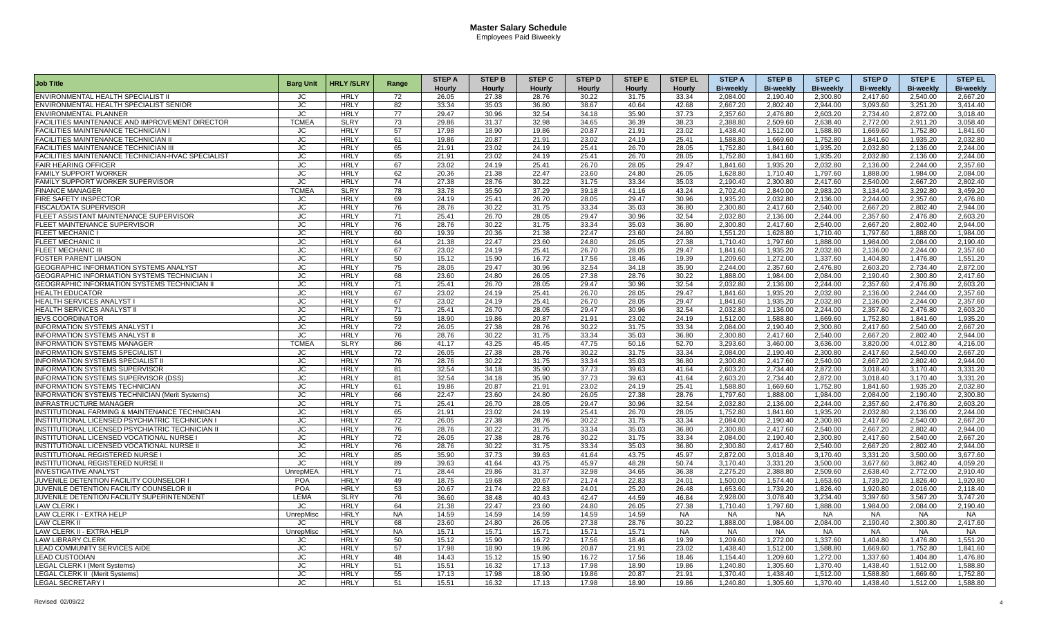|                                                       |                  |                  |                 | <b>STEP A</b> | <b>STEP B</b> | <b>STEP C</b> | <b>STEP D</b> | <b>STEP E</b> | <b>STEP EL</b> | <b>STEP A</b>    | <b>STEP B</b>    | <b>STEP C</b>    | <b>STEP D</b>    | <b>STEP E</b>    | <b>STEP EL</b>   |
|-------------------------------------------------------|------------------|------------------|-----------------|---------------|---------------|---------------|---------------|---------------|----------------|------------------|------------------|------------------|------------------|------------------|------------------|
| <b>Job Title</b>                                      | <b>Barg Unit</b> | <b>HRLY/SLRY</b> | Range           | Hourly        | Hourly        | Hourly        | Hourly        | Hourly        | <b>Hourly</b>  | <b>Bi-weekly</b> | <b>Bi-weekly</b> | <b>Bi-weekly</b> | <b>Bi-weekly</b> | <b>Bi-weekly</b> | <b>Bi-weekly</b> |
| ENVIRONMENTAL HEALTH SPECIALIST II                    | JC               | <b>HRLY</b>      | 72              | 26.05         | 27.38         | 28.76         | 30.22         | 31.75         | 33.34          | 2,084.00         | 2.190.40         | 2,300.80         | 2,417.60         | 2.540.00         | 2,667.20         |
| ENVIRONMENTAL HEALTH SPECIALIST SENIOR                | JC               | <b>HRLY</b>      | 82              | 33.34         | 35.03         | 36.80         | 38.67         | 40.64         | 42.68          | 2.667.20         | 2.802.40         | 2.944.00         | 3.093.60         | 3,251.20         | 3.414.40         |
| <b>ENVIRONMENTAL PLANNER</b>                          | <b>JC</b>        | <b>HRLY</b>      | 77              | 29.47         | 30.96         | 32.54         | 34.18         | 35.90         | 37.73          | 2,357.60         | 2,476.80         | 2,603.20         | 2,734.40         | 2,872.00         | 3,018.40         |
| FACILITIES MAINTENANCE AND IMPROVEMENT DIRECTOR       | <b>TCMEA</b>     | <b>SLRY</b>      | 73              | 29.86         | 31.37         | 32.98         | 34.65         | 36.39         | 38.23          | 2,388.80         | 2,509.60         | 2,638.40         | 2,772.00         | 2.911.20         | 3,058.40         |
| <b>FACILITIES MAINTENANCE TECHNICIAN I</b>            | JC               | <b>HRLY</b>      | 57              | 17.98         | 18.90         | 19.86         | 20.87         | 21.91         | 23.02          | 1,438.40         | 1,512.00         | 1,588.80         | 1,669.60         | 1,752.80         | 1,841.60         |
| <b>FACILITIES MAINTENANCE TECHNICIAN II</b>           | JC               | <b>HRLY</b>      | 61              | 19.86         | 20.87         | 21.91         | 23.02         | 24.19         | 25.41          | 1.588.80         | 1.669.60         | 1.752.80         | 1.841.60         | 1.935.20         | 2.032.80         |
| FACILITIES MAINTENANCE TECHNICIAN I                   | JC               | <b>HRLY</b>      | 65              | 21.91         | 23.02         | 24.19         | 25.41         | 26.70         | 28.05          | 1,752.80         | 1,841.60         | 1,935.20         | 2,032.80         | 2,136.00         | 2,244.00         |
| FACILITIES MAINTENANCE TECHNICIAN-HVAC SPECIALIST     | <b>JC</b>        | <b>HRLY</b>      | 65              | 21.91         | 23.02         | 24.19         | 25.41         | 26.70         | 28.05          | 1,752.80         | 1.841.60         | 1.935.20         | 2,032.80         | 2,136.00         | 2.244.00         |
| <b>FAIR HEARING OFFICER</b>                           | JC               | <b>HRLY</b>      | 67              | 23.02         | 24.19         | 25.41         | 26.70         | 28.05         | 29.47          | 1,841.60         | 1,935.20         | 2,032.80         | 2,136.00         | 2,244.00         | 2,357.60         |
| <b>FAMILY SUPPORT WORKER</b>                          | JC               | <b>HRLY</b>      | 62              | 20.36         | 21.38         | 22.47         | 23.60         | 24.80         | 26.05          | 1.628.80         | 1.710.40         | 1.797.60         | 1.888.00         | 1.984.00         | 2.084.00         |
| <b>FAMILY SUPPORT WORKER SUPERVISOR</b>               | JC               | <b>HRLY</b>      | 74              | 27.38         | 28.76         | 30.22         | 31.75         | 33.34         | 35.03          | 2.190.40         | 2.300.80         | 2.417.60         | 2.540.00         | 2.667.20         | 2.802.40         |
| <b>FINANCE MANAGER</b>                                | <b>TCMEA</b>     | <b>SLRY</b>      | 78              | 33.78         | 35.50         | 37.29         | 39.18         | 41.16         | 43.24          | 2.702.40         | 2.840.00         | 2,983.20         | 3.134.40         | 3,292.80         |                  |
|                                                       |                  | <b>HRLY</b>      | 69              | 24.19         | 25.41         | 26.70         | 28.05         | 29.47         | 30.96          | 1.935.20         | 2.032.80         |                  | 2.244.00         | 2,357.60         | 3,459.20         |
| FIRE SAFETY INSPECTOR                                 | JC               |                  | 76              |               | 30.22         |               | 33.34         | 35.03         |                |                  | 2.417.60         | 2,136.00         | 2.667.20         | 2.802.40         | 2,476.80         |
| <b>FISCAL/DATA SUPERVISOR</b>                         | JC               | <b>HRLY</b>      |                 | 28.76         |               | 31.75         |               |               | 36.80          | 2.300.80         |                  | 2.540.00         |                  |                  | 2.944.00         |
| FLEET ASSISTANT MAINTENANCE SUPERVISOR                | JC.              | <b>HRLY</b>      | 71              | 25.41         | 26.70         | 28.05         | 29.47         | 30.96         | 32.54          | 2.032.80         | 2.136.00         | 2.244.00         | 2.357.60         | 2.476.80         | 2.603.20         |
| FLEET MAINTENANCE SUPERVISOR                          | JC               | <b>HRLY</b>      | 76              | 28.76         | 30.22         | 31.75         | 33.34         | 35.03         | 36.80          | 2.300.80         | 2.417.60         | 2,540.00         | 2,667.20         | 2,802.40         | 2.944.00         |
| <b>FLEET MECHANIC I</b>                               | <b>JC</b>        | <b>HRLY</b>      | 60              | 19.39         | 20.36         | 21.38         | 22.47         | 23.60         | 24.80          | 1.551.20         | 1.628.80         | 1.710.40         | 1.797.60         | 1.888.00         | 1.984.00         |
| <b>FLEET MECHANIC II</b>                              | JC               | <b>HRLY</b>      | 64              | 21.38         | 22.47         | 23.60         | 24.80         | 26.05         | 27.38          | 1.710.40         | 1.797.60         | 1.888.00         | 1.984.00         | 2.084.00         | 2.190.40         |
| <b>FLEET MECHANIC III</b>                             | JC.              | <b>HRLY</b>      | 67              | 23.02         | 24.19         | 25.41         | 26.70         | 28.05         | 29.47          | 1.841.60         | 1.935.20         | 2.032.80         | 2.136.00         | 2.244.00         | 2.357.60         |
| FOSTER PARENT LIAISON                                 | JC.              | <b>HRLY</b>      | 50              | 15.12         | 15.90         | 16.72         | 17.56         | 18.46         | 19.39          | 1.209.60         | 1.272.00         | 1.337.60         | 1.404.80         | 1.476.80         | 1.551.20         |
| GEOGRAPHIC INFORMATION SYSTEMS ANALYST                | <b>JC</b>        | <b>HRLY</b>      | 75              | 28.05         | 29.47         | 30.96         | 32.54         | 34.18         | 35.90          | 2,244.00         | 2,357.60         | 2,476.80         | 2,603.20         | 2,734.40         | 2,872.00         |
| GEOGRAPHIC INFORMATION SYSTEMS TECHNICIAN             | JC               | <b>HRLY</b>      | 68              | 23.60         | 24.80         | 26.05         | 27.38         | 28.76         | 30.22          | 1,888.00         | 1.984.00         | 2,084.00         | 2,190.40         | 2,300.80         | 2,417.60         |
| GEOGRAPHIC INFORMATION SYSTEMS TECHNICIAN I           | JC               | <b>HRLY</b>      | $\overline{71}$ | 25.41         | 26.70         | 28.05         | 29.47         | 30.96         | 32.54          | 2.032.80         | 2,136.00         | 2.244.00         | 2.357.60         | 2,476.80         | 2.603.20         |
| <b>HEALTH EDUCATOR</b>                                | JC.              | <b>HRLY</b>      | 67              | 23.02         | 24.19         | 25.41         | 26.70         | 28.05         | 29.47          | 1.841.60         | 1.935.20         | 2.032.80         | 2,136.00         | 2.244.00         | 2.357.60         |
| HEALTH SERVICES ANALYST                               | JC               | <b>HRLY</b>      | 67              | 23.02         | 24.19         | 25.41         | 26.70         | 28.05         | 29.47          | 1.841.60         | 1.935.20         | 2.032.80         | 2.136.00         | 2.244.00         | 2.357.60         |
| HEALTH SERVICES ANALYST II                            | <b>JC</b>        | <b>HRLY</b>      | 71              | 25.41         | 26.70         | 28.05         | 29.47         | 30.96         | 32.54          | 2,032.80         | 2,136.00         | 2,244.00         | 2,357.60         | 2,476.80         | 2,603.20         |
| <b>IEVS COORDINATOR</b>                               | JС               | <b>HRLY</b>      | 59              | 18.90         | 19.86         | 20.87         | 21.91         | 23.02         | 24.19          | 1,512.00         | 1,588.80         | 1,669.60         | 1,752.80         | 1,841.60         | 1,935.20         |
| <b>INFORMATION SYSTEMS ANALYST I</b>                  | JC.              | <b>HRLY</b>      | 72              | 26.05         | 27.38         | 28.76         | 30.22         | 31.75         | 33.34          | 2.084.00         | 2.190.40         | 2.300.80         | 2,417.60         | 2.540.00         | 2.667.20         |
| <b>INFORMATION SYSTEMS ANALYST II</b>                 | JC.              | <b>HRLY</b>      | 76              | 28.76         | 30.22         | 31.75         | 33.34         | 35.03         | 36.80          | 2.300.80         | 2.417.60         | 2.540.00         | 2.667.20         | 2.802.40         | 2.944.00         |
| <b>INFORMATION SYSTEMS MANAGER</b>                    | <b>TCMEA</b>     | <b>SLRY</b>      | 86              | 41.17         | 43.25         | 45.45         | 47.75         | 50.16         | 52.70          | 3,293.60         | 3,460.00         | 3,636.00         | 3,820.00         | 4,012.80         | 4,216.00         |
| INFORMATION SYSTEMS SPECIALIST                        | JС               | <b>HRLY</b>      | 72              | 26.05         | 27.38         | 28.76         | 30.22         | 31.75         | 33.34          | 2,084.00         | 2,190.40         | 2,300.80         | 2,417.60         | 2,540.00         | 2,667.20         |
| <b>INFORMATION SYSTEMS SPECIALIST II</b>              | JC               | <b>HRLY</b>      | 76              | 28.76         | 30.22         | 31.75         | 33.34         | 35.03         | 36.80          | 2,300.80         | 2,417.60         | 2,540.00         | 2,667.20         | 2,802.40         | 2,944.00         |
| <b>INFORMATION SYSTEMS SUPERVISOR</b>                 | JС               | <b>HRLY</b>      | 81              | 32.54         | 34.18         | 35.90         | 37.73         | 39.63         | 41.64          | 2.603.20         | 2.734.40         | 2,872.00         | 3.018.40         | 3.170.40         | 3,331.20         |
| INFORMATION SYSTEMS SUPERVISOR (DSS)                  | JC.              | <b>HRLY</b>      | 81              | 32.54         | 34.18         | 35.90         | 37.73         | 39.63         | 41.64          | 2.603.20         | 2.734.40         | 2.872.00         | 3.018.40         | 3.170.40         | 3.331.20         |
| <b>INFORMATION SYSTEMS TECHNICIAN</b>                 | JС               | <b>HRLY</b>      | 61              | 19.86         | 20.87         | 21.91         | 23.02         | 24.19         | 25.41          | 1,588.80         | 1.669.60         | 1,752.80         | 1,841.60         | 1,935.20         | 2,032.80         |
| <b>INFORMATION SYSTEMS TECHNICIAN (Merit Systems)</b> | <b>JC</b>        | <b>HRLY</b>      | 66              | 22.47         | 23.60         | 24.80         | 26.05         | 27.38         | 28.76          | 1,797.60         | 1.888.00         | 1.984.00         | 2,084.00         | 2,190.40         | 2.300.80         |
| <b>INFRASTRUCTURE MANAGER</b>                         | JС               | <b>HRLY</b>      | 71              | 25.41         | 26.70         | 28.05         | 29.47         | 30.96         | 32.54          | 2,032.80         | 2,136.00         | 2,244.00         | 2,357.60         | 2,476.80         | 2,603.20         |
| INSTITUTIONAL FARMING & MAINTENANCE TECHNICIAN        | JC               | <b>HRLY</b>      | 65              | 21.91         | 23.02         | 24.19         | 25.41         | 26.70         | 28.05          | 1.752.80         | 1.841.60         | 1.935.20         | 2,032.80         | 2,136.00         | 2.244.00         |
| INSTITUTIONAL LICENSED PSYCHIATRIC TECHNICIAN I       | JC               | <b>HRLY</b>      | 72              | 26.05         | 27.38         | 28.76         | 30.22         | 31.75         | 33.34          | 2,084.00         | 2.190.40         | 2,300.80         | 2,417.60         | 2,540.00         | 2,667.20         |
| INSTITUTIONAL LICENSED PSYCHIATRIC TECHNICIAN II      | <b>JC</b>        | <b>HRLY</b>      | 76              | 28.76         | 30.22         | 31.75         | 33.34         | 35.03         | 36.80          | 2,300.80         | 2,417.60         | 2,540.00         | 2,667.20         | 2,802.40         | 2,944.00         |
| INSTITUTIONAL LICENSED VOCATIONAL NURSE I             | JC               | <b>HRLY</b>      | 72              | 26.05         | 27.38         | 28.76         | 30.22         | 31.75         | 33.34          | 2.084.00         | 2.190.40         | 2.300.80         | 2.417.60         | 2.540.00         | 2.667.20         |
| INSTITUTIONAL LICENSED VOCATIONAL NURSE II            | JC               | <b>HRLY</b>      | 76              | 28.76         | 30.22         | 31.75         | 33.34         | 35.03         | 36.80          | 2.300.80         | 2.417.60         | 2,540.00         | 2,667.20         | 2,802.40         | 2.944.00         |
| INSTITUTIONAL REGISTERED NURSE I                      | JC.              | <b>HRLY</b>      | 85              | 35.90         | 37.73         | 39.63         | 41.64         | 43.75         | 45.97          | 2.872.00         | 3.018.40         | 3,170.40         | 3.331.20         | 3.500.00         | 3.677.60         |
| INSTITUTIONAL REGISTERED NURSE II                     | <b>JC</b>        | <b>HRLY</b>      | 89              | 39.63         | 41.64         | 43.75         | 45.97         | 48.28         | 50.74          | 3.170.40         | 3,331.20         | 3,500.00         | 3,677.60         | 3,862.40         | 4,059.20         |
| <b>INVESTIGATIVE ANALYST</b>                          | UnrepMEA         | <b>HRLY</b>      | 71              | 28.44         | 29.86         | 31.37         | 32.98         | 34.65         | 36.38          | 2.275.20         | 2.388.80         | 2.509.60         | 2,638.40         | 2.772.00         | 2.910.40         |
| JUVENILE DETENTION FACILITY COUNSELOR I               | <b>POA</b>       | <b>HRLY</b>      | 49              | 18.75         | 19.68         | 20.67         | 21.74         | 22.83         | 24.01          | 1.500.00         | 1.574.40         | 1.653.60         | 1,739.20         | 1.826.40         | 1.920.80         |
| JUVENILE DETENTION FACILITY COUNSELOR I               | POA              | <b>HRLY</b>      | 53              | 20.67         | 21.74         | 22.83         | 24.01         | 25.20         | 26.48          | 1.653.60         | 1.739.20         | 1.826.40         | 1.920.80         | 2.016.00         | 2.118.40         |
| JUVENILE DETENTION FACILITY SUPERINTENDENT            | <b>LEMA</b>      | <b>SLRY</b>      | 76              | 36.60         | 38.48         | 40.43         | 42.47         | 44.59         | 46.84          | 2.928.00         | 3.078.40         | 3.234.40         | 3.397.60         | 3.567.20         | 3.747.20         |
| <b>LAW CLERK I</b>                                    | <b>JC</b>        | <b>HRLY</b>      | 64              | 21.38         | 22.47         | 23.60         | 24.80         | 26.05         | 27.38          | 1,710.40         | 1,797.60         | 1,888.00         | 1,984.00         | 2,084.00         | 2,190.40         |
|                                                       |                  |                  | <b>NA</b>       | 14.59         | 14.59         |               |               | 14.59         |                | <b>NA</b>        |                  | <b>NA</b>        |                  |                  |                  |
| LAW CLERK I - EXTRA HELP                              | UnrepMisc        | <b>HRLY</b>      | 68              |               |               | 14.59         | 14.59         |               | <b>NA</b>      |                  | <b>NA</b>        |                  | <b>NA</b>        | <b>NA</b>        | <b>NA</b>        |
| LAW CLERK II                                          | JC               | <b>HRLY</b>      |                 | 23.60         | 24.80         | 26.05         | 27.38         | 28.76         | 30.22          | 1.888.00         | 1.984.00         | 2.084.00         | 2.190.40         | 2.300.80         | 2.417.60         |
| LAW CLERK II - EXTRA HELP                             | UnrepMisc        | <b>HRLY</b>      | <b>NA</b>       | 15.71         | 15.71         | 15.71         | 15.71         | 15.71         | <b>NA</b>      | <b>NA</b>        | <b>NA</b>        | <b>NA</b>        | <b>NA</b>        | <b>NA</b>        | <b>NA</b>        |
| AW LIBRARY CLERK                                      | JC.              | <b>HRLY</b>      | 50              | 15.12         | 15.90         | 16.72         | 17.56         | 18.46         | 19.39          | 1,209.60         | 1,272.00         | 1,337.60         | 1,404.80         | 1.476.80         | 1,551.20         |
| <b>EAD COMMUNITY SERVICES AIDE</b>                    | JC               | <b>HRLY</b>      | 57              | 17.98         | 18.90         | 19.86         | 20.87         | 21.91         | 23.02          | 1,438.40         | 1,512.00         | 1,588.80         | 1,669.60         | 1,752.80         | 1,841.60         |
| <b>LEAD CUSTODIAN</b>                                 | <b>JC</b>        | <b>HRLY</b>      | 48              | 14.43         | 15.12         | 15.90         | 16.72         | 17.56         | 18.46          | 1,154.40         | 1.209.60         | 1,272.00         | 1,337.60         | 1,404.80         | 1,476.80         |
| LEGAL CLERK I (Merit Systems)                         | JC.              | <b>HRLY</b>      | 51              | 15.51         | 16.32         | 17.13         | 17.98         | 18.90         | 19.86          | 1.240.80         | 1.305.60         | 1.370.40         | 1,438.40         | 1.512.00         | 1,588.80         |
| <b>LEGAL CLERK II (Merit Systems)</b>                 | JC.              | <b>HRLY</b>      | 55              | 17.13         | 17.98         | 18.90         | 19.86         | 20.87         | 21.91          | 1.370.40         | 1.438.40         | 1.512.00         | 1.588.80         | 1.669.60         | 1.752.80         |
| <b>LEGAL SECRETARY I</b>                              | <b>JC</b>        | <b>HRLY</b>      | 51              | 15.51         | 16.32         | 17.13         | 17.98         | 18.90         | 19.86          | 1,240.80         | 1,305.60         | 1,370.40         | 1,438.40         | 1,512.00         | 1,588.80         |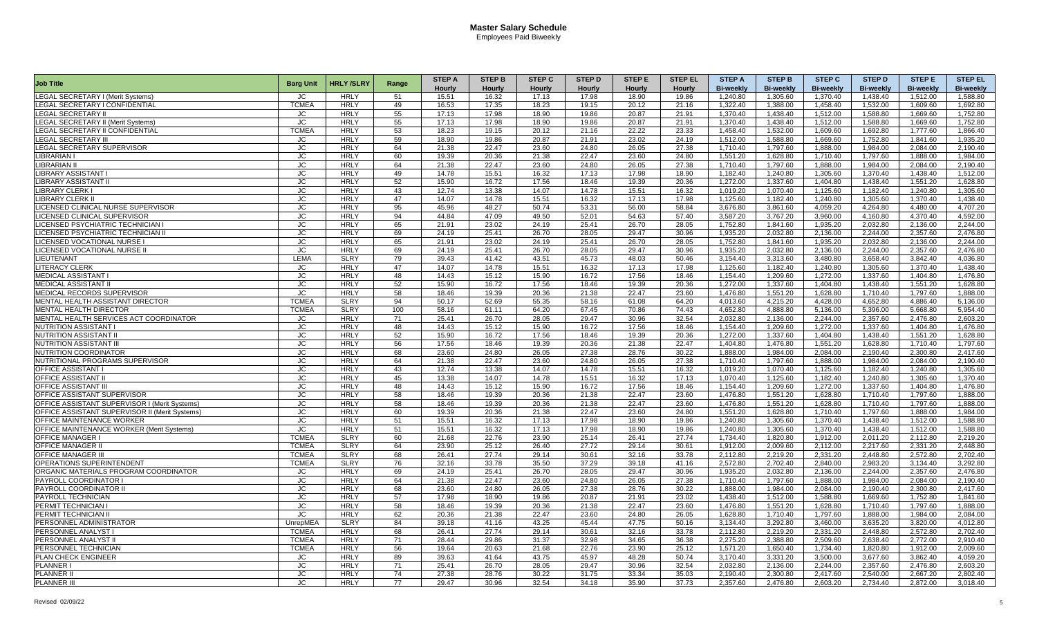|                                                      |                         |                  |       | <b>STEP A</b> | <b>STEP B</b>  | <b>STEP C</b> | <b>STEP D</b> | <b>STEP E</b>  | <b>STEP EL</b> | <b>STEP A</b>         | <b>STEP B</b>        | <b>STEP C</b>        | <b>STEP D</b>        | <b>STEPE</b>         | <b>STEP EL</b>   |
|------------------------------------------------------|-------------------------|------------------|-------|---------------|----------------|---------------|---------------|----------------|----------------|-----------------------|----------------------|----------------------|----------------------|----------------------|------------------|
| <b>Job Title</b>                                     | <b>Barg Unit</b>        | <b>HRLY/SLRY</b> | Range | Hourly        | Hourly         | Hourly        | Hourly        | Hourly         | Hourly         | <b>Bi-weekly</b>      | <b>Bi-weekly</b>     | <b>Bi-weekly</b>     | <b>Bi-weekly</b>     | <b>Bi-weekly</b>     | <b>Bi-weekly</b> |
| <b>LEGAL SECRETARY I (Merit Systems)</b>             | JC                      | <b>HRLY</b>      | 51    | 15.51         | 16.32          | 17.13         | 17.98         | 18.90          | 19.86          | 1.240.80              | 1,305.60             | 1,370.40             | 1,438.40             | 1,512.00             | 1,588.80         |
| <b>LEGAL SECRETARY I CONFIDENTIAL</b>                | <b>TCMEA</b>            | <b>HRLY</b>      | 49    | 16.53         | 17.35          | 18.23         | 19.15         | 20.12          | 21.16          | 1.322.40              | 1.388.00             | 1.458.40             | 1,532.00             | 1.609.60             | 1.692.80         |
| <b>LEGAL SECRETARY II</b>                            | JC                      | <b>HRLY</b>      | 55    | 17.13         | 17.98          | 18.90         | 19.86         | 20.87          | 21.91          | 1,370.40              | 1,438.40             | 1,512.00             | 1,588.80             | 1,669.60             | 1,752.80         |
| <b>LEGAL SECRETARY II (Merit Systems)</b>            | <b>JC</b>               | <b>HRLY</b>      | 55    | 17.13         | 17.98          | 18.90         | 19.86         | 20.87          | 21.91          | 1.370.40              | 1.438.40             | 1,512.00             | 1,588.80             | 1,669.60             | 1,752.80         |
| <b>LEGAL SECRETARY II CONFIDENTIAL</b>               | <b>TCMEA</b>            | <b>HRLY</b>      | 53    | 18.23         | 19.15          | 20.12         | 21.16         | 22.22          | 23.33          | 1,458.40              | 1,532.00             | 1,609.60             | 1,692.80             | 1,777.60             | 1,866.40         |
| <b>LEGAL SECRETARY III</b>                           | JC.                     | <b>HRLY</b>      | 59    | 18.90         | 19.86          | 20.87         | 21.91         | 23.02          | 24.19          | 1.512.00              | 1.588.80             | 1.669.60             | 1.752.80             | 1.841.60             | 1.935.20         |
| LEGAL SECRETARY SUPERVISOR                           | JC                      | <b>HRLY</b>      | 64    | 21.38         | 22.47          | 23.60         | 24.80         | 26.05          | 27.38          | 1,710.40              | 1,797.60             | 1,888.00             | 1,984.00             | 2,084.00             | 2,190.40         |
| <b>LIBRARIAN</b>                                     | JС                      | <b>HRLY</b>      | 60    | 19.39         | 20.36          | 21.38         | 22.47         | 23.60          | 24.80          | 1,551.20              | 1,628.80             | 1.710.40             | 1,797.60             | 1,888.00             | 1.984.00         |
| <b>LIBRARIAN I</b>                                   | JC                      | <b>HRLY</b>      | 64    | 21.38         | 22.47          | 23.60         | 24.80         | 26.05          | 27.38          | 1,710.40              | 1,797.60             | 1,888.00             | 1,984.00             | 2,084.00             | 2,190.40         |
| <b>LIBRARY ASSISTANT I</b>                           | JC                      | <b>HRLY</b>      | 49    | 14.78         | 15.51          | 16.32         | 17.13         | 17.98          | 18.90          | 1.182.40              | 1.240.80             | 1.305.60             | 1,370.40             | 1,438.40             | 1.512.00         |
|                                                      | JC.                     | <b>HRLY</b>      | 52    | 15.90         |                | 17.56         | 18.46         | 19.39          | 20.36          | 1.272.00              | 1,337.60             | 1.404.80             | 1,438.40             | 1,551.20             |                  |
| <b>LIBRARY ASSISTANT I</b><br><b>LIBRARY CLERK I</b> |                         | <b>HRLY</b>      | 43    | 12.74         | 16.72          | 14.07         | 14.78         |                | 16.32          |                       |                      |                      |                      |                      | 1,628.80         |
| <b>LIBRARY CLERK I</b>                               | JС<br>JC.               | <b>HRLY</b>      | 47    | 14.07         | 13.38          |               | 16.32         | 15.51<br>17.13 | 17.98          | 1,019.20              | 1,070.40<br>1,182.40 | 1,125.60             | 1,182.40<br>1,305.60 | 1,240.80             | 1,305.60         |
|                                                      | JC                      | <b>HRLY</b>      | 95    |               | 14.78<br>48.27 | 15.51         | 53.31         | 56.00          | 58.84          | 1,125.60              | 3.861.60             | 1,240.80<br>4.059.20 | 4.264.80             | 1,370.40<br>4.480.00 | 1,438.40         |
| LICENSED CLINICAL NURSE SUPERVISOR                   |                         | <b>HRLY</b>      |       | 45.96         |                | 50.74         |               |                |                | 3.676.80              |                      |                      |                      |                      | 4.707.20         |
| <b>LICENSED CLINICAL SUPERVISOR</b>                  | JC                      |                  | 94    | 44.84         | 47.09          | 49.50         | 52.01         | 54.63          | 57.40          | 3.587.20              | 3.767.20             | 3.960.00             | 4.160.80             | 4,370.40             | 4.592.00         |
| LICENSED PSYCHIATRIC TECHNICIAN I                    | <b>JC</b>               | <b>HRLY</b>      | 65    | 21.91         | 23.02          | 24.19         | 25.41         | 26.70          | 28.05          | 1.752.80              | 1.841.60             | 1,935.20             | 2,032.80             | 2,136.00             | 2.244.00         |
| <b>LICENSED PSYCHIATRIC TECHNICIAN I</b>             | JС                      | <b>HRLY</b>      | 69    | 24.19         | 25.41          | 26.70         | 28.05         | 29.47          | 30.96          | 1.935.20              | 2.032.80             | 2,136.00             | 2,244.00             | 2,357.60             | 2.476.80         |
| <b>LICENSED VOCATIONAL NURSE I</b>                   | <b>JC</b>               | <b>HRLY</b>      | 65    | 21.91         | 23.02          | 24.19         | 25.41         | 26.70          | 28.05          | 1.752.80              | 1.841.60             | 1.935.20             | 2.032.80             | 2.136.00             | 2.244.00         |
| <b>LICENSED VOCATIONAL NURSE I</b>                   | JC                      | <b>HRLY</b>      | 69    | 24.19         | 25.41          | 26.70         | 28.05         | 29.47          | 30.96          | 1.935.20              | 2.032.80             | 2.136.00             | 2.244.00             | 2.357.60             | 2.476.80         |
| LIEUTENANT                                           | LEMA                    | <b>SLRY</b>      | 79    | 39.43         | 41.42          | 43.51         | 45.73         | 48.03          | 50.46          | 3.154.40              | 3.313.60             | 3.480.80             | 3.658.40             | 3.842.40             | 4.036.80         |
| <b>LITERACY CLERK</b>                                | JC                      | <b>HRLY</b>      | 47    | 14.07         | 14.78          | 15.51         | 16.32         | 17.13          | 17.98          | 1,125.60              | 1,182.40             | 1,240.80             | 1,305.60             | 1,370.40             | 1,438.40         |
| <b>MEDICAL ASSISTANT I</b>                           | JC                      | <b>HRLY</b>      | 48    | 14.43         | 15.12          | 15.90         | 16.72         | 17.56          | 18.46          | 1,154.40              | 1,209.60             | 1,272.00             | 1,337.60             | 1,404.80             | 1,476.80         |
| <b>MEDICAL ASSISTANT II</b>                          | $\overline{\mathsf{C}}$ | <b>HRLY</b>      | 52    | 15.90         | 16.72          | 17.56         | 18.46         | 19.39          | 20.36          | 1,272.00              | 1,337.60             | 1,404.80             | 1,438.40             | 1,551.20             | 1,628.80         |
| MEDICAL RECORDS SUPERVISOR                           | <b>JC</b>               | <b>HRLY</b>      | 58    | 18.46         | 19.39          | 20.36         | 21.38         | 22.47          | 23.60          | 1,476.80              | 1.551.20             | 1,628.80             | 1.710.40             | 1,797.60             | 1.888.00         |
| <b>MENTAL HEALTH ASSISTANT DIRECTOR</b>              | <b>TCMEA</b>            | <b>SLRY</b>      | 94    | 50.17         | 52.69          | 55.35         | 58.16         | 61.08          | 64.20          | 4.013.60              | 4.215.20             | 4.428.00             | 4.652.80             | 4.886.40             | 5.136.00         |
| <b>MENTAL HEALTH DIRECTOR</b>                        | <b>TCMEA</b>            | <b>SLRY</b>      | 100   | 58.16         | 61.11          | 64.20         | 67.45         | 70.86          | 74.43          | 4,652.80              | 4,888.80             | 5,136.00             | 5,396.00             | 5,668.80             | 5,954.40         |
| MENTAL HEALTH SERVICES ACT COORDINATOR               | JC                      | <b>HRLY</b>      | 71    | 25.41         | 26.70          | 28.05         | 29.47         | 30.96          | 32.54          | 2,032.80              | 2,136.00             | 2,244.00             | 2,357.60             | 2,476.80             | 2,603.20         |
| <b>NUTRITION ASSISTANT I</b>                         | JC.                     | <b>HRLY</b>      | 48    | 14.43         | 15.12          | 15.90         | 16.72         | 17.56          | 18.46          | 1.154.40              | 1.209.60             | 1.272.00             | 1.337.60             | 1.404.80             | 1.476.80         |
| <b>NUTRITION ASSISTANT</b>                           | <b>JC</b>               | <b>HRLY</b>      | 52    | 15.90         | 16.72          | 17.56         | 18.46         | 19.39          | 20.36          | 1.272.00              | 1.337.60             | 1.404.80             | 1.438.40             | 1.551.20             | 1.628.80         |
| <b>NUTRITION ASSISTANT III</b>                       | <b>JC</b>               | <b>HRLY</b>      | 56    | 17.56         | 18.46          | 19.39         | 20.36         | 21.38          | 22.47          | 1,404.80              | 1,476.80             | 1,551.20             | 1,628.80             | 1,710.40             | 1,797.60         |
| NUTRITION COORDINATOR                                | <b>JC</b>               | <b>HRLY</b>      | 68    | 23.60         | 24.80          | 26.05         | 27.38         | 28.76          | 30.22          | 1,888.00              | 1,984.00             | 2,084.00             | 2,190.40             | 2,300.80             | 2,417.60         |
| NUTRITIONAL PROGRAMS SUPERVISOR                      | JС                      | <b>HRLY</b>      | 64    | 21.38         | 22.47          | 23.60         | 24.80         | 26.05          | 27.38          | 1,710.40              | 1,797.60             | 1,888.00             | 1,984.00             | 2,084.00             | 2,190.40         |
| <b>OFFICE ASSISTANT I</b>                            | JС                      | <b>HRLY</b>      | 43    | 12.74         | 13.38          | 14.07         | 14.78         | 15.51          | 16.32          | 1.019.20              | 1.070.40             | 1,125.60             | 1,182.40             | 1,240.80             | 1.305.60         |
| <b>OFFICE ASSISTANT II</b>                           | JC                      | <b>HRLY</b>      | 45    | 13.38         | 14.07          | 14.78         | 15.51         | 16.32          | 17.13          | 1.070.40              | 1,125.60             | 1,182.40             | 1.240.80             | 1,305.60             | 1,370.40         |
| <b>OFFICE ASSISTANT III</b>                          | <b>JC</b>               | <b>HRLY</b>      | 48    | 14.43         | 15.12          | 15.90         | 16.72         | 17.56          | 18.46          | 1.154.40              | 1,209.60             | 1,272.00             | 1,337.60             | 1,404.80             | 1,476.80         |
| OFFICE ASSISTANT SUPERVISOR                          | JC                      | <b>HRLY</b>      | 58    | 18.46         | 19.39          | 20.36         | 21.38         | 22.47          | 23.60          | 1,476.80              | 1,551.20             | 1,628.80             | 1,710.40             | 1,797.60             | 1,888.00         |
| OFFICE ASSISTANT SUPERVISOR I (Merit Systems)        | JС                      | <b>HRLY</b>      | 58    | 18.46         | 19.39          | 20.36         | 21.38         | 22.47          | 23.60          | 1.476.80              | 1,551.20             | 1,628.80             | 1.710.40             | 1.797.60             | 1.888.00         |
| OFFICE ASSISTANT SUPERVISOR II (Merit Systems        | JC                      | <b>HRLY</b>      | 60    | 19.39         | 20.36          | 21.38         | 22.47         | 23.60          | 24.80          | 1,551.20              | 1,628.80             | 1,710.40             | 1,797.60             | 1,888.00             | 1,984.00         |
| OFFICE MAINTENANCE WORKER                            | JС                      | <b>HRLY</b>      | 51    | 15.51         | 16.32          | 17.13         | 17.98         | 18.90          | 19.86          | 1,240.80              | 1,305.60             | 1,370.40             | 1,438.40             | 1,512.00             | 1,588.80         |
| <b>OFFICE MAINTENANCE WORKER (Merit Systems)</b>     | JC                      | <b>HRLY</b>      | 51    | 15.51         | 16.32          | 17.13         | 17.98         | 18.90          | 19.86          | 1.240.80              | 1,305.60             | 1,370.40             | 1,438.40             | 1,512.00             | 1,588.80         |
| <b>OFFICE MANAGER I</b>                              | TCMEA                   | <b>SLRY</b>      | 60    | 21.68         | 22.76          | 23.90         | 25.14         | 26.41          | 27.74          | 1,734.40              | 1,820.80             | 1,912.00             | 2.011.20             | 2,112.80             | 2,219.20         |
| <b>OFFICE MANAGER I</b>                              | TCMEA                   | <b>SLRY</b>      | 64    | 23.90         | 25.12          | 26.40         | 27.72         | 29.14          | 30.61          | 1.912.00              | 2,009.60             | 2,112.00             | 2,217.60             | 2,331.20             | 2.448.80         |
| <b>OFFICE MANAGER III</b>                            | <b>TCMEA</b>            | <b>SLRY</b>      | 68    | 26.41         | 27.74          | 29.14         | 30.61         | 32.16          | 33.78          | 2.112.80              | 2.219.20             | 2.331.20             | 2.448.80             | 2,572.80             | 2.702.40         |
| OPERATIONS SUPERINTENDENT                            | <b>TCMEA</b>            | <b>SLRY</b>      | 76    | 32.16         | 33.78          | 35.50         | 37.29         | 39.18          | 41.16          | 2,572.80              | 2,702.40             | 2,840.00             | 2,983.20             | 3,134.40             | 3,292.80         |
| ORGANIC MATERIALS PROGRAM COORDINATOR                | JC                      | <b>HRLY</b>      | 69    | 24.19         | 25.41          | 26.70         | 28.05         | 29.47          | 30.96          | 1.935.20              | 2.032.80             | 2.136.00             | 2.244.00             | 2,357.60             | 2.476.80         |
| <b>PAYROLL COORDINATOR</b>                           | JC.                     | <b>HRLY</b>      | 64    | 21.38         | 22.47          | 23.60         | 24.80         | 26.05          | 27.38          | 1.710.40              | 1.797.60             | 1,888.00             | 1.984.00             | 2.084.00             | 2.190.40         |
| PAYROLL COORDINATOR II                               | <b>JC</b>               | <b>HRLY</b>      | 68    | 23.60         | 24.80          | 26.05         | 27.38         | 28.76          | 30.22          | 1.888.00              | 1.984.00             | 2.084.00             | 2.190.40             | 2.300.80             | 2.417.60         |
| <b>PAYROLL TECHNICIAN</b>                            | JC.                     | <b>HRLY</b>      | 57    | 17.98         | 18.90          | 19.86         | 20.87         | 21.91          | 23.02          | 1.438.40              | 1.512.00             | 1.588.80             | 1.669.60             | 1,752.80             | 1.841.60         |
| <b>PERMIT TECHNICIAN</b>                             | $\overline{\mathsf{C}}$ | <b>HRLY</b>      | 58    | 18.46         | 19.39          | 20.36         | 21.38         | 22.47          | 23.60          | 1,476.80              | 1,551.20             | 1,628.80             | 1,710.40             | 1,797.60             | 1,888.00         |
| PERMIT TECHNICIAN I                                  | JС                      | <b>HRLY</b>      | 62    | 20.36         | 21.38          | 22.47         | 23.60         | 24.80          | 26.05          | 1,628.80              | 1,710.40             | 1,797.60             | 1,888.00             | 1,984.00             | 2,084.00         |
| PERSONNEL ADMINISTRATOR                              | UnrepMEA                | <b>SLRY</b>      | 84    | 39.18         | 41.16          | 43.25         | 45.44         | 47.75          | 50.16          | 3.134.40              | 3.292.80             | 3.460.00             | 3.635.20             | 3.820.00             | 4.012.80         |
| PERSONNEL ANALYST                                    | <b>TCMEA</b>            | <b>HRLY</b>      | 68    | 26.41         | 27.74          | 29.14         | 30.61         | 32.16          | 33.78          | 2.112.80              | 2.219.20             | 2.331.20             | 2.448.80             | 2.572.80             | 2.702.40         |
| PERSONNEL ANALYST II                                 | <b>TCMEA</b>            | <b>HRLY</b>      | 71    | 28.44         | 29.86          | 31.37         | 32.98         | 34.65          | 36.38          | $\overline{2,}275.20$ | 2,388.80             | 2,509.60             | 2,638.40             | 2,772.00             | 2.910.40         |
| PERSONNEL TECHNICIAN                                 | <b>TCMEA</b>            | <b>HRLY</b>      | 56    | 19.64         | 20.63          | 21.68         | 22.76         | 23.90          | 25.12          | 1,571.20              | 1,650.40             | 1,734.40             | 1,820.80             | 1,912.00             | 2,009.60         |
| PLAN CHECK ENGINEER                                  | <b>JC</b>               | <b>HRLY</b>      | 89    | 39.63         | 41.64          | 43.75         | 45.97         | 48.28          | 50.74          | 3.170.40              | 3.331.20             | 3,500.00             | 3,677.60             | 3,862.40             | 4,059.20         |
| <b>PLANNER I</b>                                     | JC                      | <b>HRLY</b>      | 71    | 25.41         | 26.70          | 28.05         | 29.47         | 30.96          | 32.54          | 2.032.80              | 2,136.00             | 2.244.00             | 2,357.60             | 2,476.80             | 2.603.20         |
| <b>PLANNER II</b>                                    | JC.                     | <b>HRLY</b>      | 74    | 27.38         | 28.76          | 30.22         | 31.75         | 33.34          | 35.03          | 2.190.40              | 2.300.80             | 2.417.60             | 2.540.00             | 2.667.20             | 2.802.40         |
| <b>PLANNER II</b>                                    | <b>JC</b>               | <b>HRLY</b>      | 77    | 29.47         | 30.96          | 32.54         | 34.18         | 35.90          | 37.73          | 2,357.60              | 2,476.80             | 2,603.20             | 2,734.40             | 2,872.00             | 3,018.40         |
|                                                      |                         |                  |       |               |                |               |               |                |                |                       |                      |                      |                      |                      |                  |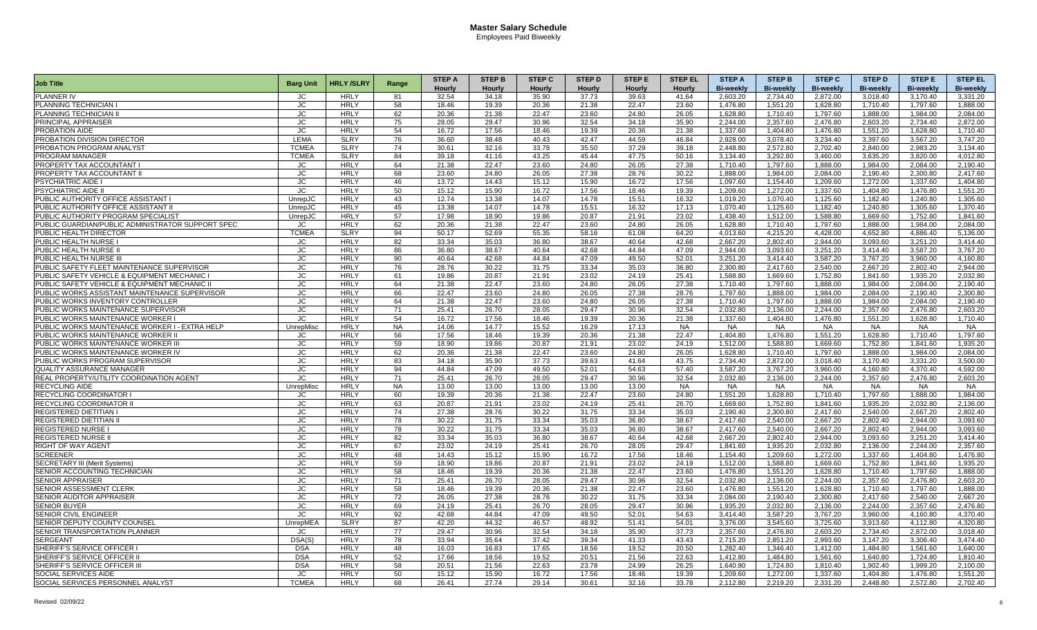| <b>Job Title</b>                                  | <b>Barg Unit</b> | <b>HRLY/SLRY</b> | Range     | <b>STEP A</b> | <b>STEP B</b> | <b>STEP C</b> | <b>STEP D</b> | <b>STEP E</b> | <b>STEP EL</b> | <b>STEP A</b>    | <b>STEP B</b>    | <b>STEP C</b>    | <b>STEP D</b>    | <b>STEPE</b>     | <b>STEP EL</b>   |
|---------------------------------------------------|------------------|------------------|-----------|---------------|---------------|---------------|---------------|---------------|----------------|------------------|------------------|------------------|------------------|------------------|------------------|
|                                                   |                  |                  |           | Hourly        | Hourly        | Hourly        | Hourly        | <b>Hourly</b> | <b>Hourly</b>  | <b>Bi-weekly</b> | <b>Bi-weekly</b> | <b>Bi-weekly</b> | <b>Bi-weekly</b> | <b>Bi-weekly</b> | <b>Bi-weekly</b> |
| PLANNER IV                                        | JC               | <b>HRLY</b>      | 81        | 32.54         | 34.18         | 35.90         | 37.73         | 39.63         | 41.64          | 2.603.20         | 2.734.40         | 2.872.00         | 3.018.40         | 3.170.40         | 3.331.20         |
| PLANNING TECHNICIAN I                             | JС               | <b>HRLY</b>      | 58        | 18.46         | 19.39         | 20.36         | 21.38         | 22.47         | 23.60          | 1,476.80         | 1,551.20         | 1,628.80         | 1,710.40         | 1,797.60         | 1,888.00         |
| PLANNING TECHNICIAN II                            | <b>JC</b>        | <b>HRLY</b>      | 62        | 20.36         | 21.38         | 22.47         | 23.60         | 24.80         | 26.05          | 1,628.80         | 1,710.40         | 1,797.60         | 1,888.00         | 1,984.00         | 2,084.00         |
| PRINCIPAL APPRAISER                               | JC.              | <b>HRLY</b>      | 75        | 28.05         | 29.47         | 30.96         | 32.54         | 34.18         | 35.90          | 2.244.00         | 2.357.60         | 2.476.80         | 2.603.20         | 2.734.40         | 2.872.00         |
| PROBATION AIDE                                    | <b>JC</b>        | <b>HRLY</b>      | 54        | 16.72         | 17.56         | 18.46         | 19.39         | 20.36         | 21.38          | 1,337.60         | 1,404.80         | 1,476.80         | 1,551.20         | 1,628.80         | 1,710.40         |
| PROBATION DIVISION DIRECTOR                       | LEMA             | <b>SLRY</b>      | 76        | 36.60         | 38.48         | 40.43         | 42.47         | 44.59         | 46.84          | 2.928.00         | 3,078.40         | 3,234.40         | 3,397.60         | 3,567.20         | 3.747.20         |
| PROBATION PROGRAM ANALYST                         | <b>TCMEA</b>     | <b>SLRY</b>      | 74        | 30.61         | 32.16         | 33.78         | 35.50         | 37.29         | 39.18          | 2,448.80         | 2,572.80         | 2,702.40         | 2,840.00         | 2,983.20         | 3,134.40         |
| PROGRAM MANAGER                                   | <b>TCMEA</b>     | <b>SLRY</b>      | 84        | 39.18         | 41.16         | 43.25         | 45.44         | 47.75         | 50.16          | 3.134.40         | 3.292.80         | 3.460.00         | 3,635.20         | 3.820.00         | 4.012.80         |
| PROPERTY TAX ACCOUNTANT I                         | <b>JC</b>        | <b>HRLY</b>      | 64        | 21.38         | 22.47         | 23.60         | 24.80         | 26.05         | 27.38          | 1,710.40         | 1,797.60         | 1,888.00         | 1,984.00         | 2,084.00         | 2,190.40         |
| PROPERTY TAX ACCOUNTANT II                        | JС               | <b>HRLY</b>      | 68        | 23.60         | 24.80         | 26.05         | 27.38         | 28.76         | 30.22          | 1,888.00         | 1.984.00         | 2.084.00         | 2,190.40         | 2,300.80         | 2.417.60         |
| <b>PSYCHIATRIC AIDE I</b>                         | JC               | <b>HRLY</b>      | 46        | 13.72         | 14.43         | 15.12         | 15.90         | 16.72         | 17.56          | 1,097.60         | 1.154.40         | 1,209.60         | 1,272.00         | 1,337.60         | 1.404.80         |
| <b>PSYCHIATRIC AIDE II</b>                        | JC               | <b>HRLY</b>      | 50        | 15.12         | 15.90         | 16.72         | 17.56         | 18.46         | 19.39          | 1,209.60         | 1.272.00         | 1,337.60         | 1,404.80         | 1.476.80         | 1,551.20         |
| PUBLIC AUTHORITY OFFICE ASSISTANT I               | UnrepJC          | <b>HRLY</b>      | 43        | 12.74         | 13.38         | 14.07         | 14.78         | 15.51         | 16.32          | 1,019.20         | 1,070.40         | 1,125.60         | 1,182.40         | 1,240.80         | 1,305.60         |
| PUBLIC AUTHORITY OFFICE ASSISTANT I               | UnrepJC          | <b>HRLY</b>      | 45        | 13.38         | 14.07         | 14.78         | 15.51         | 16.32         | 17.13          | 1.070.40         | 1,125.60         | 1.182.40         | 1,240.80         | 1,305.60         | 1.370.40         |
| PUBLIC AUTHORITY PROGRAM SPECIALIST               | UnrepJC          | <b>HRLY</b>      | 57        | 17.98         | 18.90         | 19.86         | 20.87         | 21.91         | 23.02          | 1.438.40         | 1.512.00         | 1.588.80         | 1,669.60         | 1,752.80         | 1.841.60         |
| PUBLIC GUARDIAN/PUBLIC ADMINISTRATOR SUPPORT SPEC | JC               | <b>HRLY</b>      | 62        | 20.36         | 21.38         | 22.47         | 23.60         | 24.80         | 26.05          | 1.628.80         | 1.710.40         | 1.797.60         | 1.888.00         | 1.984.00         | 2.084.00         |
| PUBLIC HEALTH DIRECTOR                            | <b>TCMEA</b>     | <b>SLRY</b>      | 94        | 50.17         | 52.69         | 55.35         | 58.16         | 61.08         | 64.20          | 4.013.60         | 4,215.20         | 4,428.00         | 4,652.80         | 4,886.40         | 5,136.00         |
| PUBLIC HEALTH NURSE I                             | JC.              | <b>HRLY</b>      | 82        | 33.34         | 35.03         | 36.80         | 38.67         | 40.64         | 42.68          | 2.667.20         | 2.802.40         | 2.944.00         | 3.093.60         | 3.251.20         | 3.414.40         |
| PUBLIC HEALTH NURSE II                            | <b>JC</b>        | <b>HRLY</b>      | 86        | 36.80         | 38.67         | 40.64         | 42.68         | 44.84         | 47.09          | 2.944.00         | 3.093.60         | 3.251.20         | 3.414.40         | 3.587.20         | 3.767.20         |
| PUBLIC HEALTH NURSE II                            | <b>JC</b>        | <b>HRLY</b>      | 90        | 40.64         | 42.68         | 44.84         | 47.09         | 49.50         | 52.01          | 3,251.20         | 3,414.40         | 3,587.20         | 3,767.20         | 3,960.00         | 4,160.80         |
| PUBLIC SAFETY FLEET MAINTENANCE SUPERVISOR        | JC               | <b>HRLY</b>      | 76        | 28.76         | 30.22         | 31.75         | 33.34         | 35.03         | 36.80          | 2,300.80         | 2,417.60         | 2,540.00         | 2,667.20         | 2,802.40         | 2,944.00         |
| PUBLIC SAFETY VEHICLE & EQUIPMENT MECHANIC I      | JC               | <b>HRLY</b>      | 61        | 19.86         | 20.87         | 21.91         | 23.02         | 24.19         | 25.41          | 1,588.80         | 1.669.60         | 1.752.80         | 1,841.60         | 1,935.20         | 2.032.80         |
| PUBLIC SAFETY VEHICLE & EQUIPMENT MECHANIC        | JC.              | <b>HRLY</b>      | 64        | 21.38         | 22.47         | 23.60         | 24.80         | 26.05         | 27.38          | 1,710.40         | 1.797.60         | 1.888.00         | 1.984.00         | 2,084.00         | 2.190.40         |
| PUBLIC WORKS ASSISTANT MAINTENANCE SUPERVISOR     | <b>JC</b>        | <b>HRLY</b>      | 66        | 22.47         | 23.60         | 24.80         | 26.05         | 27.38         | 28.76          | 1,797.60         | 1,888.00         | 1,984.00         | 2,084.00         | 2,190.40         | 2,300.80         |
| PUBLIC WORKS INVENTORY CONTROLLER                 | JС               | <b>HRLY</b>      | 64        | 21.38         | 22.47         | 23.60         | 24.80         | 26.05         | 27.38          | 1,710.40         | 1,797.60         | 1,888.00         | 1,984.00         | 2,084.00         | 2,190.40         |
| PUBLIC WORKS MAINTENANCE SUPERVISOR               | <b>JC</b>        | <b>HRLY</b>      | 71        | 25.41         | 26.70         | 28.05         | 29.47         | 30.96         | 32.54          | 2,032.80         | 2,136.00         | 2,244.00         | 2,357.60         | 2,476.80         | 2,603.20         |
| PUBLIC WORKS MAINTENANCE WORKER I                 | JС               | <b>HRLY</b>      | 54        | 16.72         | 17.56         | 18.46         | 19.39         | 20.36         | 21.38          | 1,337.60         | 1.404.80         | 1.476.80         | 1,551.20         | 1,628.80         | 1.710.40         |
| PUBLIC WORKS MAINTENANCE WORKER I - EXTRA HELP    | UnrepMiso        | <b>HRLY</b>      | <b>NA</b> | 14.06         | 14.77         | 15.52         | 16.29         | 17.13         | <b>NA</b>      | <b>NA</b>        | <b>NA</b>        | <b>NA</b>        | <b>NA</b>        | <b>NA</b>        | <b>NA</b>        |
| PUBLIC WORKS MAINTENANCE WORKER II                | JC               | <b>HRLY</b>      | 56        | 17.56         | 18.46         | 19.39         | 20.36         | 21.38         | 22.47          | 1,404.80         | 1.476.80         | 1,551.20         | 1,628.80         | 1,710.40         | 1,797.60         |
| PUBLIC WORKS MAINTENANCE WORKER II                | JС               | <b>HRLY</b>      | 59        | 18.90         | 19.86         | 20.87         | 21.91         | 23.02         | 24.19          | 1,512.00         | 1,588.80         | 1,669.60         | 1,752.80         | 1,841.60         | 1,935.20         |
| PUBLIC WORKS MAINTENANCE WORKER IV                | JС               | <b>HRLY</b>      | 62        | 20.36         | 21.38         | 22.47         | 23.60         | 24.80         | 26.05          | 1,628.80         | 1.710.40         | 1.797.60         | 1.888.00         | 1.984.00         | 2.084.00         |
| PUBLIC WORKS PROGRAM SUPERVISOR                   | <b>JC</b>        | <b>HRLY</b>      | 83        | 34.18         | 35.90         | 37.73         | 39.63         | 41.64         | 43.75          | 2,734.40         | 2,872.00         | 3,018.40         | 3,170.40         | 3,331.20         | 3,500.00         |
| QUALITY ASSURANCE MANAGER                         | JС               | <b>HRLY</b>      | 94        | 44.84         | 47.09         | 49.50         | 52.01         | 54.63         | 57.40          | 3,587.20         | 3,767.20         | 3,960.00         | 4,160.80         | 4,370.40         | 4,592.00         |
| REAL PROPERTY/UTILITY COORDINATION AGENT          | JC               | <b>HRLY</b>      | 71        | 25.41         | 26.70         | 28.05         | 29.47         | 30.96         | 32.54          | 2.032.80         | 2,136.00         | 2.244.00         | 2,357.60         | 2.476.80         | 2,603.20         |
| <b>RECYCLING AIDE</b>                             | UnrepMisc        | <b>HRLY</b>      | <b>NA</b> | 13.00         | 13.00         | 13.00         | 13.00         | 13.00         | <b>NA</b>      | <b>NA</b>        | <b>NA</b>        | <b>NA</b>        | <b>NA</b>        | <b>NA</b>        | <b>NA</b>        |
| RECYCLING COORDINATOR I                           | JC               | <b>HRLY</b>      | 60        | 19.39         | 20.36         | 21.38         | 22.47         | 23.60         | 24.80          | 1,551.20         | 1,628.80         | 1,710.40         | 1,797.60         | 1,888.00         | 1,984.00         |
| <b>RECYCLING COORDINATOR II</b>                   | JC               | <b>HRLY</b>      | 63        | 20.87         | 21.91         | 23.02         | 24.19         | 25.41         | 26.70          | 1,669.60         | 1.752.80         | 1.841.60         | 1,935.20         | 2,032.80         | 2.136.00         |
| <b>REGISTERED DIETITIAN I</b>                     | JC               | <b>HRLY</b>      | 74        | 27.38         | 28.76         | 30.22         | 31.75         | 33.34         | 35.03          | 2.190.40         | 2.300.80         | 2,417.60         | 2,540.00         | 2.667.20         | 2.802.40         |
| <b>REGISTERED DIETITIAN II</b>                    | JC               | <b>HRLY</b>      | 78        | 30.22         | 31.75         | 33.34         | 35.03         | 36.80         | 38.67          | 2.417.60         | 2.540.00         | 2.667.20         | 2,802.40         | 2.944.00         | 3.093.60         |
| <b>REGISTERED NURSE</b>                           | <b>JC</b>        | <b>HRLY</b>      | 78        | 30.22         | 31.75         | 33.34         | 35.03         | 36.80         | 38.67          | 2.417.60         | 2.540.00         | 2,667.20         | 2,802.40         | 2,944.00         | 3.093.60         |
| <b>REGISTERED NURSE II</b>                        | JC               | <b>HRLY</b>      | 82        | 33.34         | 35.03         | 36.80         | 38.67         | 40.64         | 42.68          | 2.667.20         | 2.802.40         | 2.944.00         | 3.093.60         | 3.251.20         | 3.414.40         |
| <b>RIGHT OF WAY AGENT</b>                         | JC.              | <b>HRLY</b>      | 67        | 23.02         | 24.19         | 25.41         | 26.70         | 28.05         | 29.47          | 1.841.60         | 1.935.20         | 2.032.80         | 2.136.00         | 2.244.00         | 2.357.60         |
| <b>SCREENER</b>                                   | <b>JC</b>        | <b>HRLY</b>      | 48        | 14.43         | 15.12         | 15.90         | 16.72         | 17.56         | 18.46          | 1,154.40         | 1,209.60         | 1,272.00         | 1,337.60         | 1,404.80         | 1,476.80         |
| <b>SECRETARY III (Merit Systems)</b>              | JC               | <b>HRLY</b>      | 59        | 18.90         | 19.86         | 20.87         | 21.91         | 23.02         | 24.19          | 1,512.00         | 1,588.80         | 1,669.60         | 1,752.80         | 1,841.60         | 1,935.20         |
| SENIOR ACCOUNTING TECHNICIAN                      | JC               | <b>HRLY</b>      | 58        | 18.46         | 19.39         | 20.36         | 21.38         | 22.47         | 23.60          | 1,476.80         | 1,551.20         | 1,628.80         | 1,710.40         | 1,797.60         | 1.888.00         |
| <b>SENIOR APPRAISER</b>                           | JC.              | <b>HRLY</b>      | 71        | 25.41         | 26.70         | 28.05         | 29.47         | 30.96         | 32.54          | 2.032.80         | 2.136.00         | 2.244.00         | 2,357.60         | 2.476.80         | 2.603.20         |
| SENIOR ASSESSMENT CLERK                           | <b>JC</b>        | <b>HRLY</b>      | 58        | 18.46         | 19.39         | 20.36         | 21.38         | 22.47         | 23.60          | 1,476.80         | 1,551.20         | 1,628.80         | 1,710.40         | 1,797.60         | 1,888.00         |
| SENIOR AUDITOR APPRAISER                          | <b>JC</b>        | <b>HRLY</b>      | 72        | 26.05         | 27.38         | 28.76         | 30.22         | 31.75         | 33.34          | 2,084.00         | 2,190.40         | 2,300.80         | 2,417.60         | 2,540.00         | 2,667.20         |
| <b>SENIOR BUYER</b>                               | JC               | <b>HRLY</b>      | 69        | 24.19         | 25.41         | 26.70         | 28.05         | 29.47         | 30.96          | 1,935.20         | 2,032.80         | 2,136.00         | 2,244.00         | 2,357.60         | 2,476.80         |
| <b>SENIOR CIVIL ENGINEER</b>                      | JC               | <b>HRLY</b>      | 92        | 42.68         | 44.84         | 47.09         | 49.50         | 52.01         | 54.63          | 3.414.40         | 3,587.20         | 3,767.20         | 3.960.00         | 4.160.80         | 4.370.40         |
| SENIOR DEPUTY COUNTY COUNSEL                      | <b>UnrepMEA</b>  | <b>SLRY</b>      | 87        | 42.20         | 44.32         | 46.57         | 48.92         | 51.41         | 54.01          | 3,376.00         | 3,545.60         | 3,725.60         | 3,913.60         | 4,112.80         | 4,320.80         |
| SENIOR TRANSPORTATION PLANNER                     | JC               | <b>HRLY</b>      | 77        | 29.47         | 30.96         | 32.54         | 34.18         | 35.90         | 37.73          | 2,357.60         | 2.476.80         | 2,603.20         | 2,734.40         | 2,872.00         | 3,018.40         |
| SERGEANT                                          | DSA(S)           | <b>HRLY</b>      | 78        | 33.94         | 35.64         | 37.42         | 39.34         | 41.33         | 43.43          | 2,715.20         | 2,851.20         | 2.993.60         | 3,147.20         | 3.306.40         | 3,474.40         |
| SHERIFF'S SERVICE OFFICER I                       | <b>DSA</b>       | <b>HRLY</b>      | 48        | 16.03         | 16.83         | 17.65         | 18.56         | 19.52         | 20.50          | 1,282.40         | 1.346.40         | 1.412.00         | 1,484.80         | 1,561.60         | 1.640.00         |
| SHERIFF'S SERVICE OFFICER I                       | <b>DSA</b>       | <b>HRLY</b>      | 52        | 17.66         | 18.56         | 19.52         | 20.51         | 21.56         | 22.63          | 1,412.80         | 1,484.80         | 1,561.60         | 1,640.80         | 1,724.80         | 1,810.40         |
| SHERIFF'S SERVICE OFFICER III                     | <b>DSA</b>       | <b>HRLY</b>      | 58        | 20.51         | 21.56         | 22.63         | 23.78         | 24.99         | 26.25          | 1,640.80         | 1,724.80         | 1,810.40         | 1,902.40         | 1,999.20         | 2.100.00         |
| SOCIAL SERVICES AIDE                              | JC               | <b>HRLY</b>      | 50        | 15.12         | 15.90         | 16.72         | 17.56         | 18.46         | 19.39          | 1,209.60         | 1.272.00         | 1.337.60         | 1.404.80         | 1.476.80         | 1.551.20         |
| SOCIAL SERVICES PERSONNEL ANALYST                 | <b>TCMEA</b>     | <b>HRLY</b>      | 68        | 26.41         | 27.74         | 29.14         | 30.61         | 32.16         | 33.78          | 2,112.80         | 2,219.20         | 2,331.20         | 2,448.80         | 2,572.80         | 2,702.40         |
|                                                   |                  |                  |           |               |               |               |               |               |                |                  |                  |                  |                  |                  |                  |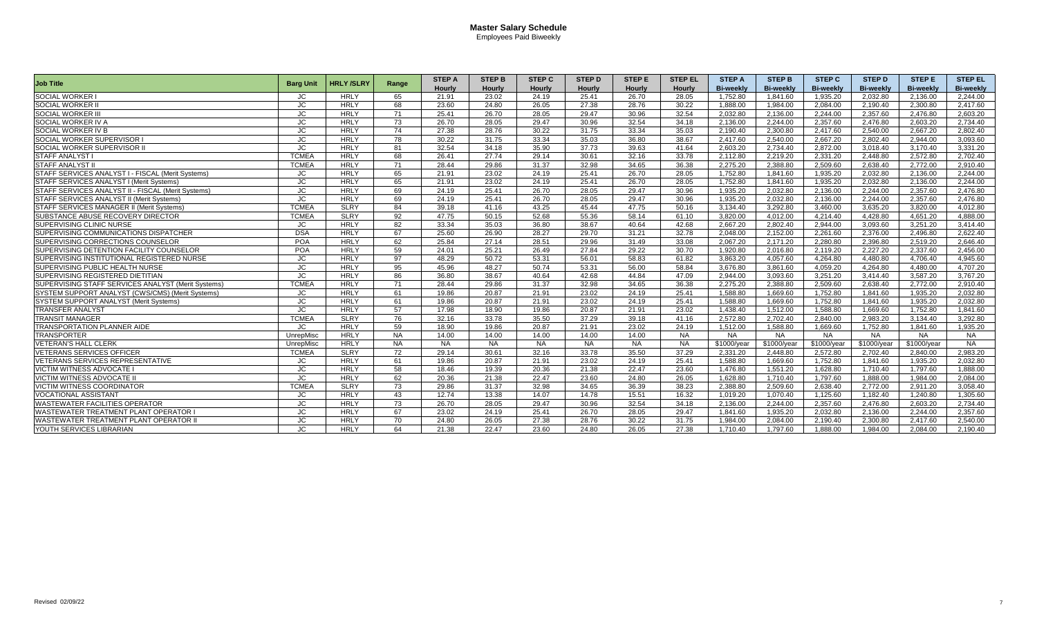|                                                    |                  |                  |           | <b>STEP A</b> | <b>STEP B</b> | <b>STEP C</b> | <b>STEP D</b> | <b>STEP E</b> | <b>STEP EL</b> | <b>STEP A</b>    | <b>STEP B</b>    | <b>STEP C</b>    | <b>STEP D</b>    | <b>STEPE</b>     | <b>STEP EL</b>   |
|----------------------------------------------------|------------------|------------------|-----------|---------------|---------------|---------------|---------------|---------------|----------------|------------------|------------------|------------------|------------------|------------------|------------------|
| <b>Job Title</b>                                   | <b>Barg Unit</b> | <b>HRLY/SLRY</b> | Range     | <b>Hourly</b> | <b>Hourly</b> | <b>Hourly</b> | <b>Hourly</b> | <b>Hourly</b> | <b>Hourly</b>  | <b>Bi-weekly</b> | <b>Bi-weekly</b> | <b>Bi-weekly</b> | <b>Bi-weekly</b> | <b>Bi-weekly</b> | <b>Bi-weekly</b> |
| <b>SOCIAL WORKER</b>                               | JC               | <b>HRLY</b>      | 65        | 21.91         | 23.02         | 24.19         | 25.41         | 26.70         | 28.05          | 1.752.80         | 1.841.60         | 1.935.20         | 2.032.80         | 2.136.00         | 2.244.00         |
| <b>SOCIAL WORKER I</b>                             | JC               | <b>HRLY</b>      | 68        | 23.60         | 24.80         | 26.05         | 27.38         | 28.76         | 30.22          | 1,888.00         | 1.984.00         | 2,084.00         | 2,190.40         | 2,300.80         | 2,417.60         |
| <b>SOCIAL WORKER II</b>                            | JC               | <b>HRLY</b>      | 71        | 25.41         | 26.70         | 28.05         | 29.47         | 30.96         | 32.54          | 2,032.80         | 2,136.00         | 2,244.00         | 2,357.60         | 2.476.80         | 2,603.20         |
| <b>SOCIAL WORKER IV A</b>                          | JC.              | <b>HRLY</b>      | 73        | 26.70         | 28.05         | 29.47         | 30.96         | 32.54         | 34.18          | 2.136.00         | 2.244.00         | 2,357.60         | 2.476.80         | 2.603.20         | 2.734.40         |
| <b>SOCIAL WORKER IV B</b>                          | JC.              | <b>HRLY</b>      | 74        | 27.38         | 28.76         | 30.22         | 31.75         | 33.34         | 35.03          | 2.190.40         | 2.300.80         | 2.417.60         | 2.540.00         | 2.667.20         | 2.802.40         |
| SOCIAL WORKER SUPERVISOR I                         | JC.              | <b>HRLY</b>      | 78        | 30.22         | 31.75         | 33.34         | 35.03         | 36.80         | 38.67          | 2.417.60         | 2.540.00         | 2.667.20         | 2,802.40         | 2.944.00         | 3,093.60         |
| SOCIAL WORKER SUPERVISOR II                        | JC.              | <b>HRLY</b>      | 81        | 32.54         | 34.18         | 35.90         | 37.73         | 39.63         | 41.64          | 2.603.20         | 2.734.40         | 2,872.00         | 3.018.40         | 3.170.40         | 3.331.20         |
| <b>STAFF ANALYST I</b>                             | <b>TCMEA</b>     | <b>HRLY</b>      | 68        | 26.41         | 27.74         | 29.14         | 30.61         | 32.16         | 33.78          | 2,112.80         | 2,219.20         | 2,331.20         | 2,448.80         | 2,572.80         | 2,702.40         |
| <b>STAFF ANALYST II</b>                            | <b>TCMEA</b>     | <b>HRLY</b>      | 71        | 28.44         | 29.86         | 31.37         | 32.98         | 34.65         | 36.38          | 2,275.20         | 2,388.80         | 2,509.60         | 2,638.40         | 2,772.00         | 2,910.40         |
| STAFF SERVICES ANALYST I - FISCAL (Merit Systems)  | JC               | <b>HRLY</b>      | 65        | 21.91         | 23.02         | 24.19         | 25.41         | 26.70         | 28.05          | 1.752.80         | 1.841.60         | 1,935.20         | 2,032.80         | 2.136.00         | 2.244.00         |
| STAFF SERVICES ANALYST I (Merit Systems)           | JC               | <b>HRLY</b>      | 65        | 21.91         | 23.02         | 24.19         | 25.41         | 26.70         | 28.05          | 1,752.80         | 1.841.60         | 1,935.20         | 2,032.80         | 2.136.00         | 2.244.00         |
| STAFF SERVICES ANALYST II - FISCAL (Merit Systems) | JC               | <b>HRLY</b>      | 69        | 24.19         | 25.41         | 26.70         | 28.05         | 29.47         | 30.96          | 1,935.20         | 2,032.80         | 2,136.00         | 2,244.00         | 2,357.60         | 2,476.80         |
| STAFF SERVICES ANALYST II (Merit Systems)          | JC               | <b>HRLY</b>      | 69        | 24.19         | 25.41         | 26.70         | 28.05         | 29.47         | 30.96          | 1,935.20         | 2,032.80         | 2,136.00         | 2,244.00         | 2,357.60         | 2,476.80         |
| STAFF SERVICES MANAGER II (Merit Systems)          | <b>TCMEA</b>     | <b>SLRY</b>      | 84        | 39.18         | 41.16         | 43.25         | 45.44         | 47.75         | 50.16          | 3,134.40         | 3,292.80         | 3,460.00         | 3,635.20         | 3,820.00         | 4,012.80         |
| SUBSTANCE ABUSE RECOVERY DIRECTOR                  | <b>TCMEA</b>     | <b>SLRY</b>      | 92        | 47.75         | 50.15         | 52.68         | 55.36         | 58.14         | 61.10          | 3,820.00         | 4,012.00         | 4,214.40         | 4,428.80         | 4,651.20         | 4,888.00         |
| <b>SUPERVISING CLINIC NURSE</b>                    | JC               | <b>HRLY</b>      | 82        | 33.34         | 35.03         | 36.80         | 38.67         | 40.64         | 42.68          | 2.667.20         | 2.802.40         | 2.944.00         | 3.093.60         | 3.251.20         | 3.414.40         |
| <b>SUPERVISING COMMUNICATIONS DISPATCHER</b>       | <b>DSA</b>       | <b>HRLY</b>      | 67        | 25.60         | 26.90         | 28.27         | 29.70         | 31.21         | 32.78          | 2.048.00         | 2.152.00         | 2.261.60         | 2.376.00         | 2.496.80         | 2.622.40         |
| SUPERVISING CORRECTIONS COUNSELOR                  | POA              | <b>HRLY</b>      | 62        | 25.84         | 27.14         | 28.51         | 29.96         | 31.49         | 33.08          | 2.067.20         | 2,171.20         | 2.280.80         | 2,396.80         | 2.519.20         | 2.646.40         |
| SUPERVISING DETENTION FACILITY COUNSELOR           | POA              | <b>HRLY</b>      | 59        | 24.01         | 25.21         | 26.49         | 27.84         | 29.22         | 30.70          | 1.920.80         | 2.016.80         | 2.119.20         | 2.227.20         | 2.337.60         | 2.456.00         |
| SUPERVISING INSTITUTIONAL REGISTERED NURSE         | JC               | <b>HRLY</b>      | 97        | 48.29         | 50.72         | 53.31         | 56.01         | 58.83         | 61.82          | 3,863.20         | 4,057.60         | 4,264.80         | 4,480.80         | 4,706.40         | 4,945.60         |
| <b>SUPERVISING PUBLIC HEALTH NURSE</b>             | JC               | <b>HRLY</b>      | 95        | 45.96         | 48.27         | 50.74         | 53.31         | 56.00         | 58.84          | 3.676.80         | 3.861.60         | 4.059.20         | 4.264.80         | 4.480.00         | 4.707.20         |
| <b>SUPERVISING REGISTERED DIETITIAN</b>            | JC               | <b>HRLY</b>      | 86        | 36.80         | 38.67         | 40.64         | 42.68         | 44.84         | 47.09          | 2.944.00         | 3.093.60         | 3,251.20         | 3,414.40         | 3.587.20         | 3.767.20         |
| SUPERVISING STAFF SERVICES ANALYST (Merit Systems) | <b>TCMEA</b>     | <b>HRLY</b>      | 71        | 28.44         | 29.86         | 31.37         | 32.98         | 34.65         | 36.38          | 2.275.20         | 2.388.80         | 2.509.60         | 2,638.40         | 2.772.00         | 2.910.40         |
| SYSTEM SUPPORT ANALYST (CWS/CMS) (Merit Systems)   | JC               | <b>HRLY</b>      | 61        | 19.86         | 20.87         | 21.91         | 23.02         | 24.19         | 25.41          | 1.588.80         | 1.669.60         | 1.752.80         | 1,841.60         | 1,935.20         | 2.032.80         |
| <b>SYSTEM SUPPORT ANALYST (Merit Systems)</b>      | JC.              | <b>HRLY</b>      | 61        | 19.86         | 20.87         | 21.91         | 23.02         | 24.19         | 25.41          | 1,588.80         | 1.669.60         | 1.752.80         | 1.841.60         | 1,935.20         | 2,032.80         |
| <b>TRANSFER ANALYST</b>                            | JC               | <b>HRLY</b>      | 57        | 17.98         | 18.90         | 19.86         | 20.87         | 21.91         | 23.02          | 1,438.40         | 1,512.00         | 1,588.80         | 1,669.60         | 1,752.80         | 1,841.60         |
| <b>TRANSIT MANAGER</b>                             | <b>TCMEA</b>     | <b>SLRY</b>      | 76        | 32.16         | 33.78         | 35.50         | 37.29         | 39.18         | 41.16          | 2,572.80         | 2,702.40         | 2,840.00         | 2,983.20         | 3,134.40         | 3,292.80         |
| <b>TRANSPORTATION PLANNER AIDE</b>                 | JC               | <b>HRLY</b>      | 59        | 18.90         | 19.86         | 20.87         | 21.91         | 23.02         | 24.19          | 1.512.00         | 1.588.80         | 1.669.60         | 1.752.80         | 1.841.60         | 1,935.20         |
| <b>TRANSPORTER</b>                                 | UnrepMisc        | <b>HRLY</b>      | <b>NA</b> | 14.00         | 14.00         | 14.00         | 14.00         | 14.00         | <b>NA</b>      | <b>NA</b>        | <b>NA</b>        | <b>NA</b>        | <b>NA</b>        | <b>NA</b>        | <b>NA</b>        |
| <b>VETERAN'S HALL CLERK</b>                        | UnrepMisc        | <b>HRLY</b>      | <b>NA</b> | <b>NA</b>     | <b>NA</b>     | <b>NA</b>     | <b>NA</b>     | <b>NA</b>     | <b>NA</b>      | \$1000/year      | \$1000/year      | \$1000/year      | \$1000/year      | \$1000/year      | <b>NA</b>        |
| <b>VETERANS SERVICES OFFICER</b>                   | <b>TCMEA</b>     | <b>SLRY</b>      | 72        | 29.14         | 30.61         | 32.16         | 33.78         | 35.50         | 37.29          | 2.331.20         | 2.448.80         | 2.572.80         | 2.702.40         | 2.840.00         | 2.983.20         |
| <b>VETERANS SERVICES REPRESENTATIVE</b>            | JC               | <b>HRLY</b>      | 61        | 19.86         | 20.87         | 21.91         | 23.02         | 24.19         | 25.41          | 1,588.80         | 1.669.60         | 1,752.80         | 1,841.60         | 1,935.20         | 2.032.80         |
| <b>VICTIM WITNESS ADVOCATE</b>                     | JC               | <b>HRLY</b>      | 58        | 18.46         | 19.39         | 20.36         | 21.38         | 22.47         | 23.60          | 1.476.80         | 1.551.20         | 1.628.80         | 1.710.40         | 1.797.60         | 1.888.00         |
| <b>VICTIM WITNESS ADVOCATE I</b>                   | JC               | <b>HRLY</b>      | 62        | 20.36         | 21.38         | 22.47         | 23.60         | 24.80         | 26.05          | 1.628.80         | 1.710.40         | 1.797.60         | 1.888.00         | 1.984.00         | 2.084.00         |
| <b>VICTIM WITNESS COORDINATOR</b>                  | <b>TCMEA</b>     | <b>SLRY</b>      | 73        | 29.86         | 31.37         | 32.98         | 34.65         | 36.39         | 38.23          | 2.388.80         | 2.509.60         | 2.638.40         | 2.772.00         | 2.911.20         | 3.058.40         |
| <b>VOCATIONAL ASSISTANT</b>                        | JC               | <b>HRLY</b>      | 43        | 12.74         | 13.38         | 14.07         | 14.78         | 15.51         | 16.32          | 1.019.20         | 1.070.40         | 1.125.60         | 1.182.40         | 1.240.80         | 1.305.60         |
| <b>WASTEWATER FACILITIES OPERATOR</b>              | JC               | <b>HRLY</b>      | 73        | 26.70         | 28.05         | 29.47         | 30.96         | 32.54         | 34.18          | 2,136.00         | 2,244.00         | 2,357.60         | 2,476.80         | 2.603.20         | 2.734.40         |
| <b>WASTEWATER TREATMENT PLANT OPERATOR I</b>       | JC               | <b>HRLY</b>      | 67        | 23.02         | 24.19         | 25.41         | 26.70         | 28.05         | 29.47          | 1.841.60         | 1,935.20         | 2,032.80         | 2,136.00         | 2,244.00         | 2,357.60         |
| WASTEWATER TREATMENT PLANT OPERATOR II             | JC               | <b>HRLY</b>      | 70        | 24.80         | 26.05         | 27.38         | 28.76         | 30.22         | 31.75          | 1.984.00         | 2.084.00         | 2.190.40         | 2.300.80         | 2.417.60         | 2.540.00         |
| YOUTH SERVICES LIBRARIAN                           | JC.              | <b>HRLY</b>      | 64        | 21.38         | 22.47         | 23.60         | 24.80         | 26.05         | 27.38          | 1.710.40         | 1.797.60         | 1.888.00         | 1.984.00         | 2.084.00         | 2.190.40         |